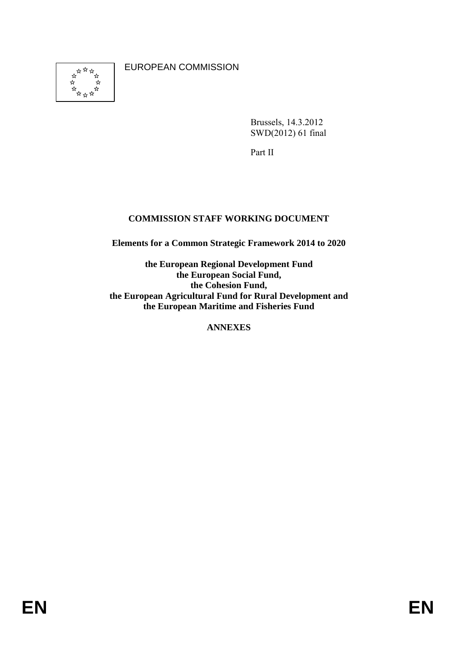EUROPEAN COMMISSION



Brussels, 14.3.2012 SWD(2012) 61 final

Part II

# **COMMISSION STAFF WORKING DOCUMENT**

**Elements for a Common Strategic Framework 2014 to 2020** 

**the European Regional Development Fund the European Social Fund, the Cohesion Fund, the European Agricultural Fund for Rural Development and the European Maritime and Fisheries Fund** 

**ANNEXES**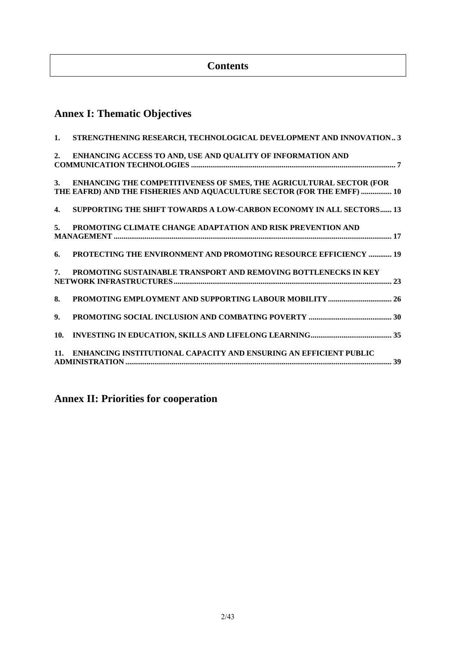# **Contents**

# **Annex I: Thematic Objectives**

| 1.        | STRENGTHENING RESEARCH, TECHNOLOGICAL DEVELOPMENT AND INNOVATION 3                                                                            |
|-----------|-----------------------------------------------------------------------------------------------------------------------------------------------|
| 2.        | ENHANCING ACCESS TO AND, USE AND QUALITY OF INFORMATION AND<br>${\bf COMMUNICATION}\,\, {\bf TECHNOLOGIES}\,\, 7$                             |
| <b>3.</b> | ENHANCING THE COMPETITIVENESS OF SMES, THE AGRICULTURAL SECTOR (FOR<br>THE EAFRD) AND THE FISHERIES AND AQUACULTURE SECTOR (FOR THE EMFF)  10 |
| 4.        | <b>SUPPORTING THE SHIFT TOWARDS A LOW-CARBON ECONOMY IN ALL SECTORS 13</b>                                                                    |
| 5.        | PROMOTING CLIMATE CHANGE ADAPTATION AND RISK PREVENTION AND                                                                                   |
| 6.        | PROTECTING THE ENVIRONMENT AND PROMOTING RESOURCE EFFICIENCY  19                                                                              |
| 7.        | PROMOTING SUSTAINABLE TRANSPORT AND REMOVING BOTTLENECKS IN KEY                                                                               |
| 8.        | PROMOTING EMPLOYMENT AND SUPPORTING LABOUR MOBILITY  26                                                                                       |
| 9.        |                                                                                                                                               |
| 10.       |                                                                                                                                               |
| 11.       | ENHANCING INSTITUTIONAL CAPACITY AND ENSURING AN EFFICIENT PUBLIC                                                                             |

**Annex II: Priorities for cooperation**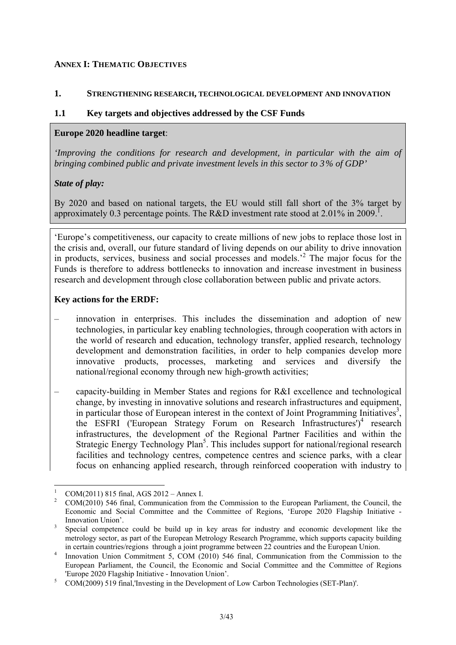#### **ANNEX I: THEMATIC OBJECTIVES**

#### <span id="page-2-0"></span>**1. STRENGTHENING RESEARCH, TECHNOLOGICAL DEVELOPMENT AND INNOVATION**

#### **1.1 Key targets and objectives addressed by the CSF Funds**

#### **Europe 2020 headline target**:

*'Improving the conditions for research and development, in particular with the aim of bringing combined public and private investment levels in this sector to 3% of GDP'* 

### *State of play:*

By 2020 and based on national targets, the EU would still fall short of the 3% target by approximately 0.3 percentage points. The R&D investment rate stood at 2.01% in 2009.<sup>1</sup>.

'Europe's competitiveness, our capacity to create millions of new jobs to replace those lost in the crisis and, overall, our future standard of living depends on our ability to drive innovation in products, services, business and social processes and models.'<sup>2</sup> The major focus for the Funds is therefore to address bottlenecks to innovation and increase investment in business research and development through close collaboration between public and private actors.

#### **Key actions for the ERDF:**

- innovation in enterprises. This includes the dissemination and adoption of new technologies, in particular key enabling technologies, through cooperation with actors in the world of research and education, technology transfer, applied research, technology development and demonstration facilities, in order to help companies develop more innovative products, processes, marketing and services and diversify the national/regional economy through new high-growth activities;
- capacity-building in Member States and regions for R&I excellence and technological change, by investing in innovative solutions and research infrastructures and equipment, in particular those of European interest in the context of Joint Programming Initiatives<sup>3</sup>, the ESFRI ('European Strategy Forum on Research Infrastructures')<sup>4</sup> research infrastructures, the development of the Regional Partner Facilities and within the Strategic Energy Technology Plan<sup>5</sup>. This includes support for national/regional research facilities and technology centres, competence centres and science parks, with a clear focus on enhancing applied research, through reinforced cooperation with industry to

<sup>&</sup>lt;u>.</u> 1 COM(2011) 815 final, AGS 2012 – Annex I.

<sup>2</sup> COM(2010) 546 final, Communication from the Commission to the European Parliament, the Council, the Economic and Social Committee and the Committee of Regions, 'Europe 2020 Flagship Initiative - Innovation Union'.

Special competence could be build up in key areas for industry and economic development like the metrology sector, as part of the European Metrology Research Programme, which supports capacity building in certain countries/regions through a joint programme between 22 countries and the European Union. 4

Innovation Union Commitment 5, COM (2010) 546 final, Communication from the Commission to the European Parliament, the Council, the Economic and Social Committee and the Committee of Regions 'Europe 2020 Flagship Initiative - Innovation Union'.

COM(2009) 519 final,'Investing in the Development of Low Carbon Technologies (SET-Plan)'.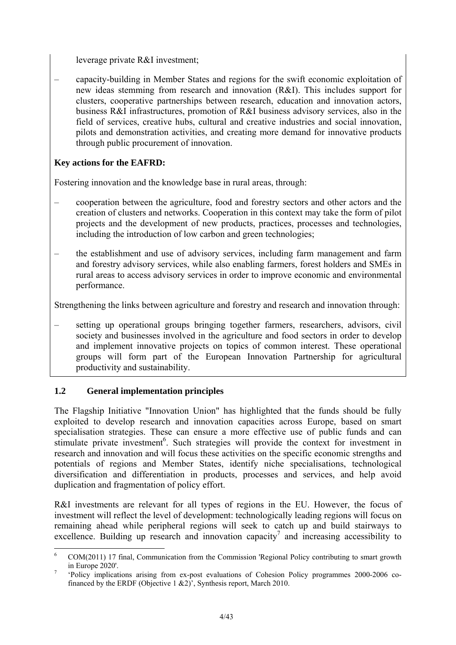leverage private R&I investment;

– capacity-building in Member States and regions for the swift economic exploitation of new ideas stemming from research and innovation (R&I). This includes support for clusters, cooperative partnerships between research, education and innovation actors, business R&I infrastructures, promotion of R&I business advisory services, also in the field of services, creative hubs, cultural and creative industries and social innovation, pilots and demonstration activities, and creating more demand for innovative products through public procurement of innovation.

# **Key actions for the EAFRD:**

Fostering innovation and the knowledge base in rural areas, through:

- cooperation between the agriculture, food and forestry sectors and other actors and the creation of clusters and networks. Cooperation in this context may take the form of pilot projects and the development of new products, practices, processes and technologies, including the introduction of low carbon and green technologies;
- the establishment and use of advisory services, including farm management and farm and forestry advisory services, while also enabling farmers, forest holders and SMEs in rural areas to access advisory services in order to improve economic and environmental performance.

Strengthening the links between agriculture and forestry and research and innovation through:

– setting up operational groups bringing together farmers, researchers, advisors, civil society and businesses involved in the agriculture and food sectors in order to develop and implement innovative projects on topics of common interest. These operational groups will form part of the European Innovation Partnership for agricultural productivity and sustainability.

# **1.2 General implementation principles**

The Flagship Initiative "Innovation Union" has highlighted that the funds should be fully exploited to develop research and innovation capacities across Europe, based on smart specialisation strategies. These can ensure a more effective use of public funds and can stimulate private investment<sup>6</sup>. Such strategies will provide the context for investment in research and innovation and will focus these activities on the specific economic strengths and potentials of regions and Member States, identify niche specialisations, technological diversification and differentiation in products, processes and services, and help avoid duplication and fragmentation of policy effort.

R&I investments are relevant for all types of regions in the EU. However, the focus of investment will reflect the level of development: technologically leading regions will focus on remaining ahead while peripheral regions will seek to catch up and build stairways to excellence. Building up research and innovation capacity<sup>7</sup> and increasing accessibility to

<sup>&</sup>lt;u>.</u> 6 COM(2011) 17 final, Communication from the Commission 'Regional Policy contributing to smart growth in Europe 2020'.

 <sup>&#</sup>x27;Policy implications arising from ex-post evaluations of Cohesion Policy programmes 2000-2006 cofinanced by the ERDF (Objective 1  $\&2$ )'. Synthesis report, March 2010.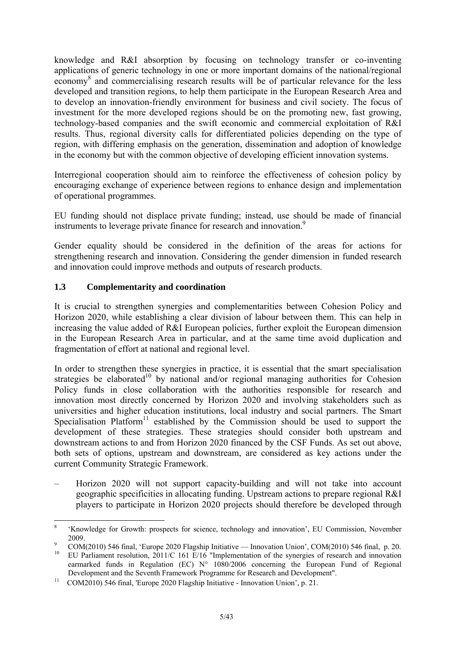knowledge and R&I absorption by focusing on technology transfer or co-inventing applications of generic technology in one or more important domains of the national/regional economy<sup>8</sup> and commercialising research results will be of particular relevance for the less developed and transition regions, to help them participate in the European Research Area and to develop an innovation-friendly environment for business and civil society. The focus of investment for the more developed regions should be on the promoting new, fast growing, technology-based companies and the swift economic and commercial exploitation of R&I results. Thus, regional diversity calls for differentiated policies depending on the type of region, with differing emphasis on the generation, dissemination and adoption of knowledge in the economy but with the common objective of developing efficient innovation systems.

Interregional cooperation should aim to reinforce the effectiveness of cohesion policy by encouraging exchange of experience between regions to enhance design and implementation of operational programmes.

EU funding should not displace private funding; instead, use should be made of financial instruments to leverage private finance for research and innovation.<sup>9</sup>

Gender equality should be considered in the definition of the areas for actions for strengthening research and innovation. Considering the gender dimension in funded research and innovation could improve methods and outputs of research products.

## **1.3 Complementarity and coordination**

It is crucial to strengthen synergies and complementarities between Cohesion Policy and Horizon 2020, while establishing a clear division of labour between them. This can help in increasing the value added of R&I European policies, further exploit the European dimension in the European Research Area in particular, and at the same time avoid duplication and fragmentation of effort at national and regional level.

In order to strengthen these synergies in practice, it is essential that the smart specialisation strategies be elaborated<sup>10</sup> by national and/or regional managing authorities for Cohesion Policy funds in close collaboration with the authorities responsible for research and innovation most directly concerned by Horizon 2020 and involving stakeholders such as universities and higher education institutions, local industry and social partners. The Smart Specialisation Platform<sup>11</sup> established by the Commission should be used to support the development of these strategies. These strategies should consider both upstream and downstream actions to and from Horizon 2020 financed by the CSF Funds. As set out above, both sets of options, upstream and downstream, are considered as key actions under the current Community Strategic Framework.

– Horizon 2020 will not support capacity-building and will not take into account geographic specificities in allocating funding. Upstream actions to prepare regional R&I players to participate in Horizon 2020 projects should therefore be developed through

 $\frac{1}{8}$  'Knowledge for Growth: prospects for science, technology and innovation', EU Commission, November 2009.<br><sup>9</sup> COM(2010) 546 final, 'Europe 2020 Flagship Initiative — Innovation Union', COM(2010) 546 final, p. 20.

<sup>&</sup>lt;sup>10</sup> EU Parliament resolution,  $2011/C 161 E/16$  "Implementation of the synergies of research and innovation

earmarked funds in Regulation (EC) N° 1080/2006 concerning the European Fund of Regional Development and the Seventh Framework Programme for Research and Development". 11 COM2010) 546 final, 'Europe 2020 Flagship Initiative - Innovation Union', p. 21.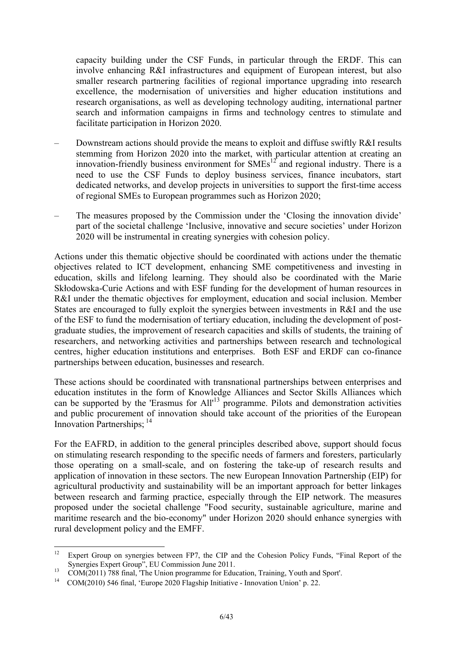capacity building under the CSF Funds, in particular through the ERDF. This can involve enhancing R&I infrastructures and equipment of European interest, but also smaller research partnering facilities of regional importance upgrading into research excellence, the modernisation of universities and higher education institutions and research organisations, as well as developing technology auditing, international partner search and information campaigns in firms and technology centres to stimulate and facilitate participation in Horizon 2020.

- Downstream actions should provide the means to exploit and diffuse swiftly R&I results stemming from Horizon 2020 into the market, with particular attention at creating an innovation-friendly business environment for  $\widehat{SMEs}^{12}$  and regional industry. There is a need to use the CSF Funds to deploy business services, finance incubators, start dedicated networks, and develop projects in universities to support the first-time access of regional SMEs to European programmes such as Horizon 2020;
- The measures proposed by the Commission under the 'Closing the innovation divide' part of the societal challenge 'Inclusive, innovative and secure societies' under Horizon 2020 will be instrumental in creating synergies with cohesion policy.

Actions under this thematic objective should be coordinated with actions under the thematic objectives related to ICT development, enhancing SME competitiveness and investing in education, skills and lifelong learning. They should also be coordinated with the Marie Skłodowska-Curie Actions and with ESF funding for the development of human resources in R&I under the thematic objectives for employment, education and social inclusion. Member States are encouraged to fully exploit the synergies between investments in R&I and the use of the ESF to fund the modernisation of tertiary education, including the development of postgraduate studies, the improvement of research capacities and skills of students, the training of researchers, and networking activities and partnerships between research and technological centres, higher education institutions and enterprises. Both ESF and ERDF can co-finance partnerships between education, businesses and research.

These actions should be coordinated with transnational partnerships between enterprises and education institutes in the form of Knowledge Alliances and Sector Skills Alliances which can be supported by the 'Erasmus for All<sup>13</sup> programme. Pilots and demonstration activities and public procurement of innovation should take account of the priorities of the European Innovation Partnerships: <sup>14</sup>

For the EAFRD, in addition to the general principles described above, support should focus on stimulating research responding to the specific needs of farmers and foresters, particularly those operating on a small-scale, and on fostering the take-up of research results and application of innovation in these sectors. The new European Innovation Partnership (EIP) for agricultural productivity and sustainability will be an important approach for better linkages between research and farming practice, especially through the EIP network. The measures proposed under the societal challenge "Food security, sustainable agriculture, marine and maritime research and the bio-economy" under Horizon 2020 should enhance synergies with rural development policy and the EMFF.

<sup>12</sup> Expert Group on synergies between FP7, the CIP and the Cohesion Policy Funds, "Final Report of the Synergies Expert Group", EU Commission June 2011.<br>
13 COM(2011) 788 final, 'The Union programme for Education, Training, Youth and Sport'.

<sup>&</sup>lt;sup>14</sup> COM(2010) 546 final, 'Europe 2020 Flagship Initiative - Innovation Union' p. 22.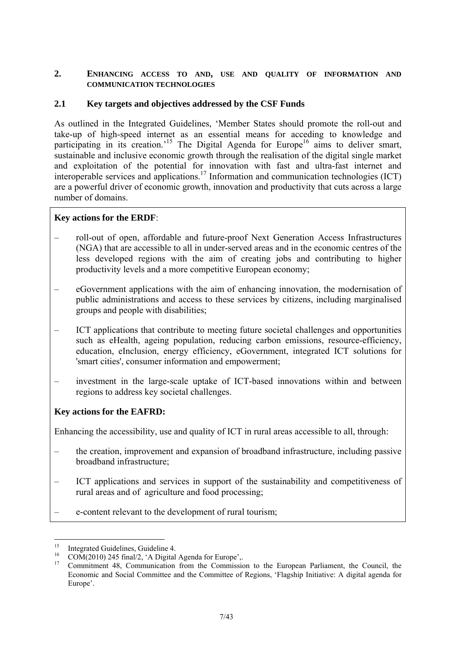### <span id="page-6-0"></span>**2. ENHANCING ACCESS TO AND, USE AND QUALITY OF INFORMATION AND COMMUNICATION TECHNOLOGIES**

### **2.1 Key targets and objectives addressed by the CSF Funds**

As outlined in the Integrated Guidelines, 'Member States should promote the roll-out and take-up of high-speed internet as an essential means for acceding to knowledge and participating in its creation.<sup>15</sup> The Digital Agenda for Europe<sup>16</sup> aims to deliver smart, sustainable and inclusive economic growth through the realisation of the digital single market and exploitation of the potential for innovation with fast and ultra-fast internet and interoperable services and applications.17 Information and communication technologies (ICT) are a powerful driver of economic growth, innovation and productivity that cuts across a large number of domains.

### **Key actions for the ERDF**:

- roll-out of open, affordable and future-proof Next Generation Access Infrastructures (NGA) that are accessible to all in under-served areas and in the economic centres of the less developed regions with the aim of creating jobs and contributing to higher productivity levels and a more competitive European economy;
- eGovernment applications with the aim of enhancing innovation, the modernisation of public administrations and access to these services by citizens, including marginalised groups and people with disabilities;
- ICT applications that contribute to meeting future societal challenges and opportunities such as eHealth, ageing population, reducing carbon emissions, resource-efficiency, education, eInclusion, energy efficiency, eGovernment, integrated ICT solutions for 'smart cities', consumer information and empowerment;
- investment in the large-scale uptake of ICT-based innovations within and between regions to address key societal challenges.

### **Key actions for the EAFRD:**

Enhancing the accessibility, use and quality of ICT in rural areas accessible to all, through:

- the creation, improvement and expansion of broadband infrastructure, including passive broadband infrastructure;
- ICT applications and services in support of the sustainability and competitiveness of rural areas and of agriculture and food processing;
- e-content relevant to the development of rural tourism;

<sup>15</sup> 

<sup>&</sup>lt;sup>15</sup> Integrated Guidelines, Guideline 4.<br><sup>16</sup> COM(2010) 245 final/2, 'A Digital Agenda for Europe',.<br><sup>17</sup> Commitment 4.8 Commission from the Commission

<sup>17</sup> Commitment 48, Communication from the Commission to the European Parliament, the Council, the Economic and Social Committee and the Committee of Regions, 'Flagship Initiative: A digital agenda for Europe'.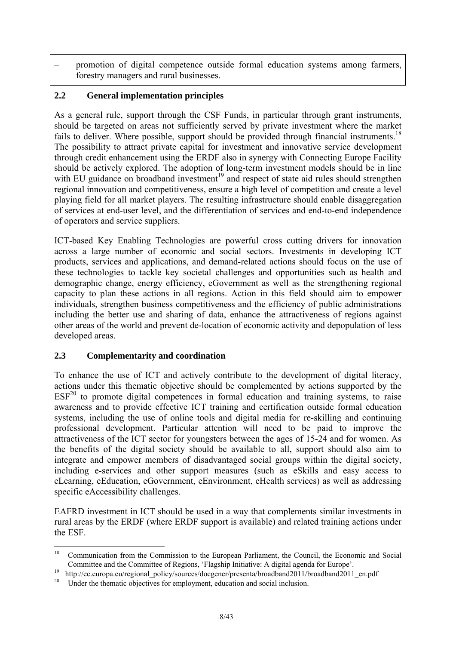– promotion of digital competence outside formal education systems among farmers, forestry managers and rural businesses.

# **2.2 General implementation principles**

As a general rule, support through the CSF Funds, in particular through grant instruments, should be targeted on areas not sufficiently served by private investment where the market fails to deliver. Where possible, support should be provided through financial instruments.<sup>18</sup> The possibility to attract private capital for investment and innovative service development through credit enhancement using the ERDF also in synergy with Connecting Europe Facility should be actively explored. The adoption of long-term investment models should be in line with EU guidance on broadband investment<sup>19</sup> and respect of state aid rules should strengthen regional innovation and competitiveness, ensure a high level of competition and create a level playing field for all market players. The resulting infrastructure should enable disaggregation of services at end-user level, and the differentiation of services and end-to-end independence of operators and service suppliers.

ICT-based Key Enabling Technologies are powerful cross cutting drivers for innovation across a large number of economic and social sectors. Investments in developing ICT products, services and applications, and demand-related actions should focus on the use of these technologies to tackle key societal challenges and opportunities such as health and demographic change, energy efficiency, eGovernment as well as the strengthening regional capacity to plan these actions in all regions. Action in this field should aim to empower individuals, strengthen business competitiveness and the efficiency of public administrations including the better use and sharing of data, enhance the attractiveness of regions against other areas of the world and prevent de-location of economic activity and depopulation of less developed areas.

### **2.3 Complementarity and coordination**

To enhance the use of ICT and actively contribute to the development of digital literacy, actions under this thematic objective should be complemented by actions supported by the  $ESF<sup>20</sup>$  to promote digital competences in formal education and training systems, to raise awareness and to provide effective ICT training and certification outside formal education systems, including the use of online tools and digital media for re-skilling and continuing professional development. Particular attention will need to be paid to improve the attractiveness of the ICT sector for youngsters between the ages of 15-24 and for women. As the benefits of the digital society should be available to all, support should also aim to integrate and empower members of disadvantaged social groups within the digital society, including e-services and other support measures (such as eSkills and easy access to eLearning, eEducation, eGovernment, eEnvironment, eHealth services) as well as addressing specific eAccessibility challenges.

EAFRD investment in ICT should be used in a way that complements similar investments in rural areas by the ERDF (where ERDF support is available) and related training actions under the ESF.

<sup>18</sup> 18 Communication from the Commission to the European Parliament, the Council, the Economic and Social

Committee and the Committee of Regions, 'Flagship Initiative: A digital agenda for Europe'.<br><sup>19</sup> http://ec.europa.eu/regional\_policy/sources/docgener/presenta/broadband2011/broadband2011\_en.pdf<br><sup>20</sup> Hardta the thermatic ch

<sup>20</sup> Under the thematic objectives for employment, education and social inclusion.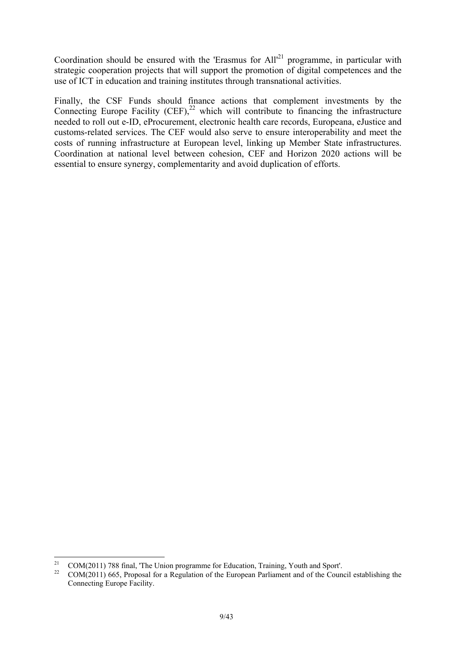Coordination should be ensured with the 'Erasmus for All'<sup>21</sup> programme, in particular with strategic cooperation projects that will support the promotion of digital competences and the use of ICT in education and training institutes through transnational activities.

Finally, the CSF Funds should finance actions that complement investments by the Connecting Europe Facility (CEF), $^{22}$  which will contribute to financing the infrastructure needed to roll out e-ID, eProcurement, electronic health care records, Europeana, eJustice and customs-related services. The CEF would also serve to ensure interoperability and meet the costs of running infrastructure at European level, linking up Member State infrastructures. Coordination at national level between cohesion, CEF and Horizon 2020 actions will be essential to ensure synergy, complementarity and avoid duplication of efforts.

 $21$ <sup>21</sup> COM(2011) 788 final, 'The Union programme for Education, Training, Youth and Sport'.

<sup>22</sup> COM(2011) 665, Proposal for a Regulation of the European Parliament and of the Council establishing the Connecting Europe Facility.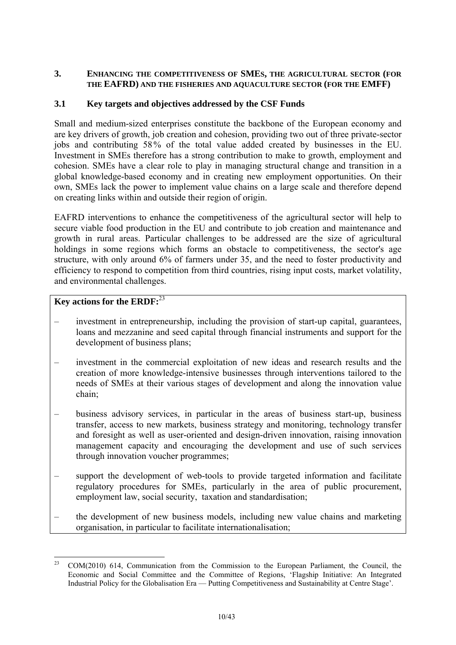### <span id="page-9-0"></span>**3. ENHANCING THE COMPETITIVENESS OF SMES, THE AGRICULTURAL SECTOR (FOR THE EAFRD) AND THE FISHERIES AND AQUACULTURE SECTOR (FOR THE EMFF)**

## **3.1 Key targets and objectives addressed by the CSF Funds**

Small and medium-sized enterprises constitute the backbone of the European economy and are key drivers of growth, job creation and cohesion, providing two out of three private-sector jobs and contributing 58% of the total value added created by businesses in the EU. Investment in SMEs therefore has a strong contribution to make to growth, employment and cohesion. SMEs have a clear role to play in managing structural change and transition in a global knowledge-based economy and in creating new employment opportunities. On their own, SMEs lack the power to implement value chains on a large scale and therefore depend on creating links within and outside their region of origin.

EAFRD interventions to enhance the competitiveness of the agricultural sector will help to secure viable food production in the EU and contribute to job creation and maintenance and growth in rural areas. Particular challenges to be addressed are the size of agricultural holdings in some regions which forms an obstacle to competitiveness, the sector's age structure, with only around 6% of farmers under 35, and the need to foster productivity and efficiency to respond to competition from third countries, rising input costs, market volatility, and environmental challenges.

# **Key actions for the ERDF:**<sup>23</sup>

- investment in entrepreneurship, including the provision of start-up capital, guarantees, loans and mezzanine and seed capital through financial instruments and support for the development of business plans;
- investment in the commercial exploitation of new ideas and research results and the creation of more knowledge-intensive businesses through interventions tailored to the needs of SMEs at their various stages of development and along the innovation value chain;
- business advisory services, in particular in the areas of business start-up, business transfer, access to new markets, business strategy and monitoring, technology transfer and foresight as well as user-oriented and design-driven innovation, raising innovation management capacity and encouraging the development and use of such services through innovation voucher programmes;
- support the development of web-tools to provide targeted information and facilitate regulatory procedures for SMEs, particularly in the area of public procurement, employment law, social security, taxation and standardisation;
- the development of new business models, including new value chains and marketing organisation, in particular to facilitate internationalisation;

 $23$ 23 COM(2010) 614, Communication from the Commission to the European Parliament, the Council, the Economic and Social Committee and the Committee of Regions, 'Flagship Initiative: An Integrated Industrial Policy for the Globalisation Era — Putting Competitiveness and Sustainability at Centre Stage'.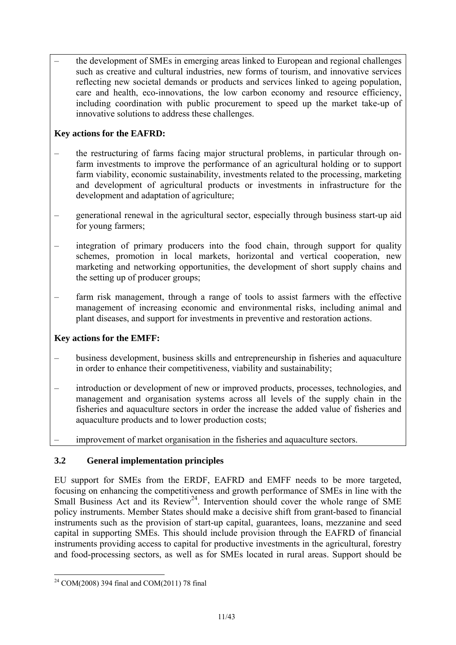– the development of SMEs in emerging areas linked to European and regional challenges such as creative and cultural industries, new forms of tourism, and innovative services reflecting new societal demands or products and services linked to ageing population, care and health, eco-innovations, the low carbon economy and resource efficiency, including coordination with public procurement to speed up the market take-up of innovative solutions to address these challenges.

# **Key actions for the EAFRD:**

- the restructuring of farms facing major structural problems, in particular through onfarm investments to improve the performance of an agricultural holding or to support farm viability, economic sustainability, investments related to the processing, marketing and development of agricultural products or investments in infrastructure for the development and adaptation of agriculture;
- generational renewal in the agricultural sector, especially through business start-up aid for young farmers;
- integration of primary producers into the food chain, through support for quality schemes, promotion in local markets, horizontal and vertical cooperation, new marketing and networking opportunities, the development of short supply chains and the setting up of producer groups;
- farm risk management, through a range of tools to assist farmers with the effective management of increasing economic and environmental risks, including animal and plant diseases, and support for investments in preventive and restoration actions.

### **Key actions for the EMFF:**

- business development, business skills and entrepreneurship in fisheries and aquaculture in order to enhance their competitiveness, viability and sustainability;
- introduction or development of new or improved products, processes, technologies, and management and organisation systems across all levels of the supply chain in the fisheries and aquaculture sectors in order the increase the added value of fisheries and aquaculture products and to lower production costs;
- improvement of market organisation in the fisheries and aquaculture sectors.

# **3.2 General implementation principles**

EU support for SMEs from the ERDF, EAFRD and EMFF needs to be more targeted, focusing on enhancing the competitiveness and growth performance of SMEs in line with the Small Business Act and its Review<sup>24</sup>. Intervention should cover the whole range of SME policy instruments. Member States should make a decisive shift from grant-based to financial instruments such as the provision of start-up capital, guarantees, loans, mezzanine and seed capital in supporting SMEs. This should include provision through the EAFRD of financial instruments providing access to capital for productive investments in the agricultural, forestry and food-processing sectors, as well as for SMEs located in rural areas. Support should be

<sup>&</sup>lt;u>.</u>  $^{24}$  COM(2008) 394 final and COM(2011) 78 final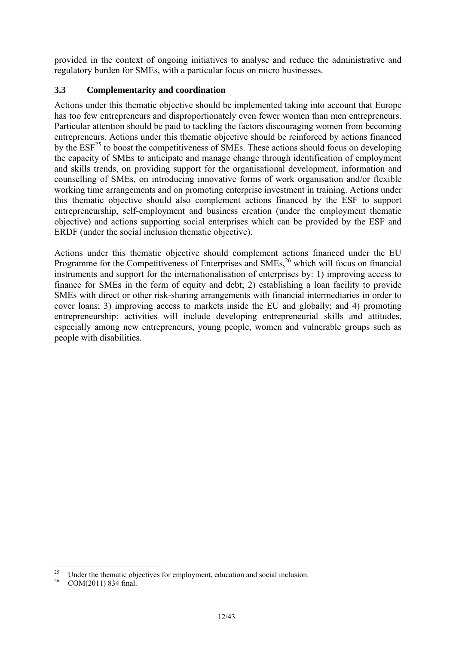provided in the context of ongoing initiatives to analyse and reduce the administrative and regulatory burden for SMEs, with a particular focus on micro businesses.

# **3.3 Complementarity and coordination**

Actions under this thematic objective should be implemented taking into account that Europe has too few entrepreneurs and disproportionately even fewer women than men entrepreneurs. Particular attention should be paid to tackling the factors discouraging women from becoming entrepreneurs. Actions under this thematic objective should be reinforced by actions financed by the  $ESF<sup>25</sup>$  to boost the competitiveness of SMEs. These actions should focus on developing the capacity of SMEs to anticipate and manage change through identification of employment and skills trends, on providing support for the organisational development, information and counselling of SMEs, on introducing innovative forms of work organisation and/or flexible working time arrangements and on promoting enterprise investment in training. Actions under this thematic objective should also complement actions financed by the ESF to support entrepreneurship, self-employment and business creation (under the employment thematic objective) and actions supporting social enterprises which can be provided by the ESF and ERDF (under the social inclusion thematic objective).

Actions under this thematic objective should complement actions financed under the EU Programme for the Competitiveness of Enterprises and SMEs,<sup>26</sup> which will focus on financial instruments and support for the internationalisation of enterprises by: 1) improving access to finance for SMEs in the form of equity and debt; 2) establishing a loan facility to provide SMEs with direct or other risk-sharing arrangements with financial intermediaries in order to cover loans; 3) improving access to markets inside the EU and globally; and 4) promoting entrepreneurship: activities will include developing entrepreneurial skills and attitudes, especially among new entrepreneurs, young people, women and vulnerable groups such as people with disabilities.

<sup>25</sup> <sup>25</sup> Under the thematic objectives for employment, education and social inclusion.<br><sup>26</sup> COM(2011) 834 final.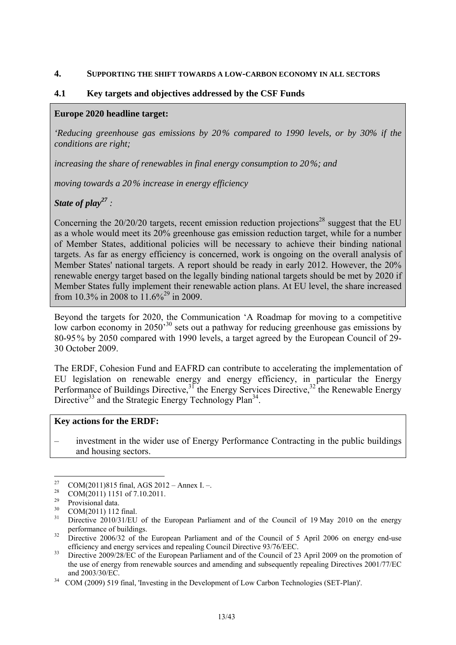#### <span id="page-12-0"></span>**4. SUPPORTING THE SHIFT TOWARDS A LOW-CARBON ECONOMY IN ALL SECTORS**

#### **4.1 Key targets and objectives addressed by the CSF Funds**

#### **Europe 2020 headline target:**

*'Reducing greenhouse gas emissions by 20% compared to 1990 levels, or by 30% if the conditions are right;* 

*increasing the share of renewables in final energy consumption to 20%; and* 

*moving towards a 20% increase in energy efficiency* 

*State of play*<sup>27</sup> :

Concerning the  $20/20/20$  targets, recent emission reduction projections<sup>28</sup> suggest that the EU as a whole would meet its 20% greenhouse gas emission reduction target, while for a number of Member States, additional policies will be necessary to achieve their binding national targets. As far as energy efficiency is concerned, work is ongoing on the overall analysis of Member States' national targets. A report should be ready in early 2012. However, the 20% renewable energy target based on the legally binding national targets should be met by 2020 if Member States fully implement their renewable action plans. At EU level, the share increased from 10.3% in 2008 to  $11.6\%^{29}$  in 2009.

Beyond the targets for 2020, the Communication 'A Roadmap for moving to a competitive low carbon economy in 2050<sup>'30</sup> sets out a pathway for reducing greenhouse gas emissions by 80-95% by 2050 compared with 1990 levels, a target agreed by the European Council of 29- 30 October 2009.

The ERDF, Cohesion Fund and EAFRD can contribute to accelerating the implementation of EU legislation on renewable energy and energy efficiency, in particular the Energy Performance of Buildings Directive,  $3^7$  the Energy Services Directive,  $3^2$  the Renewable Energy Directive<sup>33</sup> and the Strategic Energy Technology Plan<sup>34</sup>.

#### **Key actions for the ERDF:**

– investment in the wider use of Energy Performance Contracting in the public buildings and housing sectors.

<sup>27</sup> <sup>27</sup> COM(2011)815 final, AGS 2012 – Annex I. –.

<sup>&</sup>lt;sup>28</sup> COM(2011) 1151 of 7.10.2011.

 $^{29}$  Provisional data.

 $\frac{30}{31}$  COM(2011) 112 final.

Directive 2010/31/EU of the European Parliament and of the Council of 19 May 2010 on the energy

performance of buildings.<br><sup>32</sup> Directive 2006/32 of the European Parliament and of the Council of 5 April 2006 on energy end-use

efficiency and energy services and repealing Council Directive 93/76/EEC.<br>33 Directive 2009/28/EC of the European Parliament and of the Council of 23 April 2009 on the promotion of the use of energy from renewable sources and amending and subsequently repealing Directives 2001/77/EC and 2003/30/EC. 34 COM (2009) 519 final, 'Investing in the Development of Low Carbon Technologies (SET-Plan)'.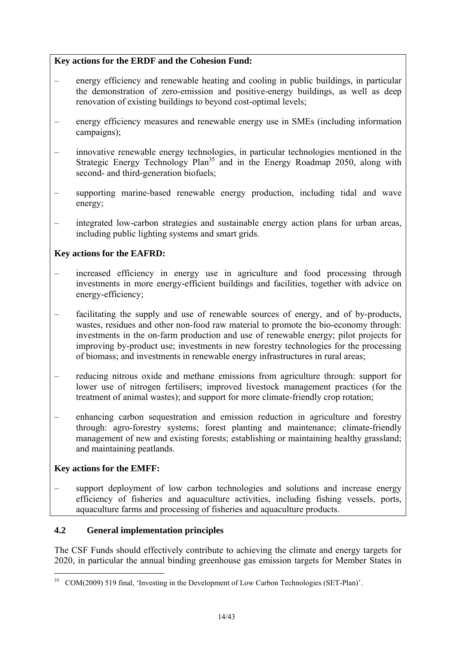# **Key actions for the ERDF and the Cohesion Fund:**

- energy efficiency and renewable heating and cooling in public buildings, in particular the demonstration of zero-emission and positive-energy buildings, as well as deep renovation of existing buildings to beyond cost-optimal levels;
- energy efficiency measures and renewable energy use in SMEs (including information campaigns);
- innovative renewable energy technologies, in particular technologies mentioned in the Strategic Energy Technology Plan<sup>35</sup> and in the Energy Roadmap 2050, along with second- and third-generation biofuels;
- supporting marine-based renewable energy production, including tidal and wave energy;
- integrated low-carbon strategies and sustainable energy action plans for urban areas, including public lighting systems and smart grids.

# **Key actions for the EAFRD:**

- increased efficiency in energy use in agriculture and food processing through investments in more energy-efficient buildings and facilities, together with advice on energy-efficiency;
- facilitating the supply and use of renewable sources of energy, and of by-products, wastes, residues and other non-food raw material to promote the bio-economy through: investments in the on-farm production and use of renewable energy; pilot projects for improving by-product use; investments in new forestry technologies for the processing of biomass; and investments in renewable energy infrastructures in rural areas;
- reducing nitrous oxide and methane emissions from agriculture through: support for lower use of nitrogen fertilisers; improved livestock management practices (for the treatment of animal wastes); and support for more climate-friendly crop rotation;
- enhancing carbon sequestration and emission reduction in agriculture and forestry through: agro-forestry systems; forest planting and maintenance; climate-friendly management of new and existing forests; establishing or maintaining healthy grassland; and maintaining peatlands.

# **Key actions for the EMFF:**

1

support deployment of low carbon technologies and solutions and increase energy efficiency of fisheries and aquaculture activities, including fishing vessels, ports, aquaculture farms and processing of fisheries and aquaculture products.

# **4.2 General implementation principles**

The CSF Funds should effectively contribute to achieving the climate and energy targets for 2020, in particular the annual binding greenhouse gas emission targets for Member States in

<sup>&</sup>lt;sup>35</sup> COM(2009) 519 final, 'Investing in the Development of Low Carbon Technologies (SET-Plan)'.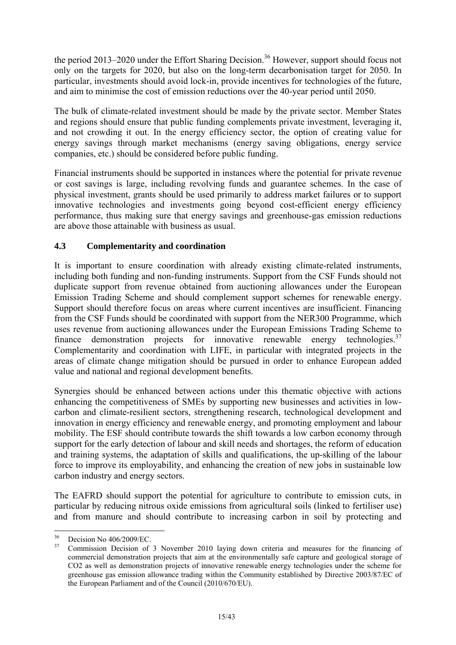the period 2013–2020 under the Effort Sharing Decision.<sup>36</sup> However, support should focus not only on the targets for 2020, but also on the long-term decarbonisation target for 2050. In particular, investments should avoid lock-in, provide incentives for technologies of the future, and aim to minimise the cost of emission reductions over the 40-year period until 2050.

The bulk of climate-related investment should be made by the private sector. Member States and regions should ensure that public funding complements private investment, leveraging it, and not crowding it out. In the energy efficiency sector, the option of creating value for energy savings through market mechanisms (energy saving obligations, energy service companies, etc.) should be considered before public funding.

Financial instruments should be supported in instances where the potential for private revenue or cost savings is large, including revolving funds and guarantee schemes. In the case of physical investment, grants should be used primarily to address market failures or to support innovative technologies and investments going beyond cost-efficient energy efficiency performance, thus making sure that energy savings and greenhouse-gas emission reductions are above those attainable with business as usual.

## **4.3 Complementarity and coordination**

It is important to ensure coordination with already existing climate-related instruments, including both funding and non-funding instruments. Support from the CSF Funds should not duplicate support from revenue obtained from auctioning allowances under the European Emission Trading Scheme and should complement support schemes for renewable energy. Support should therefore focus on areas where current incentives are insufficient. Financing from the CSF Funds should be coordinated with support from the NER300 Programme, which uses revenue from auctioning allowances under the European Emissions Trading Scheme to finance demonstration projects for innovative renewable energy technologies. $37$ Complementarity and coordination with LIFE, in particular with integrated projects in the areas of climate change mitigation should be pursued in order to enhance European added value and national and regional development benefits.

Synergies should be enhanced between actions under this thematic objective with actions enhancing the competitiveness of SMEs by supporting new businesses and activities in lowcarbon and climate-resilient sectors, strengthening research, technological development and innovation in energy efficiency and renewable energy, and promoting employment and labour mobility. The ESF should contribute towards the shift towards a low carbon economy through support for the early detection of labour and skill needs and shortages, the reform of education and training systems, the adaptation of skills and qualifications, the up-skilling of the labour force to improve its employability, and enhancing the creation of new jobs in sustainable low carbon industry and energy sectors.

The EAFRD should support the potential for agriculture to contribute to emission cuts, in particular by reducing nitrous oxide emissions from agricultural soils (linked to fertiliser use) and from manure and should contribute to increasing carbon in soil by protecting and

 $36$  $^{36}$  Decision No 406/2009/EC.

<sup>37</sup> Commission Decision of 3 November 2010 laying down criteria and measures for the financing of commercial demonstration projects that aim at the environmentally safe capture and geological storage of CO2 as well as demonstration projects of innovative renewable energy technologies under the scheme for greenhouse gas emission allowance trading within the Community established by Directive 2003/87/EC of the European Parliament and of the Council (2010/670/EU).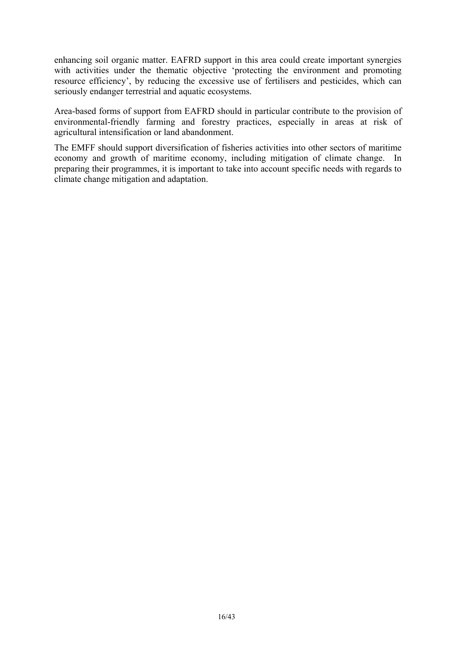enhancing soil organic matter. EAFRD support in this area could create important synergies with activities under the thematic objective 'protecting the environment and promoting resource efficiency', by reducing the excessive use of fertilisers and pesticides, which can seriously endanger terrestrial and aquatic ecosystems.

Area-based forms of support from EAFRD should in particular contribute to the provision of environmental-friendly farming and forestry practices, especially in areas at risk of agricultural intensification or land abandonment.

The EMFF should support diversification of fisheries activities into other sectors of maritime economy and growth of maritime economy, including mitigation of climate change. In preparing their programmes, it is important to take into account specific needs with regards to climate change mitigation and adaptation.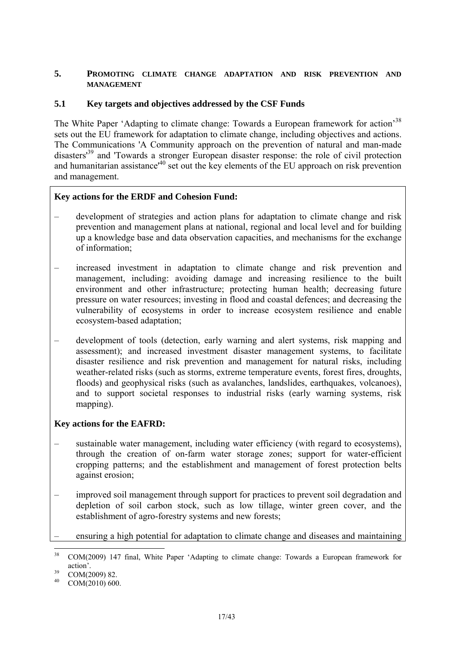#### <span id="page-16-0"></span>**5. PROMOTING CLIMATE CHANGE ADAPTATION AND RISK PREVENTION AND MANAGEMENT**

### **5.1 Key targets and objectives addressed by the CSF Funds**

The White Paper 'Adapting to climate change: Towards a European framework for action<sup>38</sup> sets out the EU framework for adaptation to climate change, including objectives and actions. The Communications 'A Community approach on the prevention of natural and man-made disasters<sup>39</sup> and 'Towards a stronger European disaster response: the role of civil protection and humanitarian assistance<sup>140</sup> set out the key elements of the EU approach on risk prevention and management.

## **Key actions for the ERDF and Cohesion Fund:**

- development of strategies and action plans for adaptation to climate change and risk prevention and management plans at national, regional and local level and for building up a knowledge base and data observation capacities, and mechanisms for the exchange of information;
- increased investment in adaptation to climate change and risk prevention and management, including: avoiding damage and increasing resilience to the built environment and other infrastructure; protecting human health; decreasing future pressure on water resources; investing in flood and coastal defences; and decreasing the vulnerability of ecosystems in order to increase ecosystem resilience and enable ecosystem-based adaptation;
- development of tools (detection, early warning and alert systems, risk mapping and assessment); and increased investment disaster management systems, to facilitate disaster resilience and risk prevention and management for natural risks, including weather-related risks (such as storms, extreme temperature events, forest fires, droughts, floods) and geophysical risks (such as avalanches, landslides, earthquakes, volcanoes), and to support societal responses to industrial risks (early warning systems, risk mapping).

### **Key actions for the EAFRD:**

- sustainable water management, including water efficiency (with regard to ecosystems), through the creation of on-farm water storage zones; support for water-efficient cropping patterns; and the establishment and management of forest protection belts against erosion;
- improved soil management through support for practices to prevent soil degradation and depletion of soil carbon stock, such as low tillage, winter green cover, and the establishment of agro-forestry systems and new forests;
- ensuring a high potential for adaptation to climate change and diseases and maintaining

<sup>38</sup> 38 COM(2009) 147 final, White Paper 'Adapting to climate change: Towards a European framework for action'.<br>39 COM(2009) 82.

COM(2010) 600.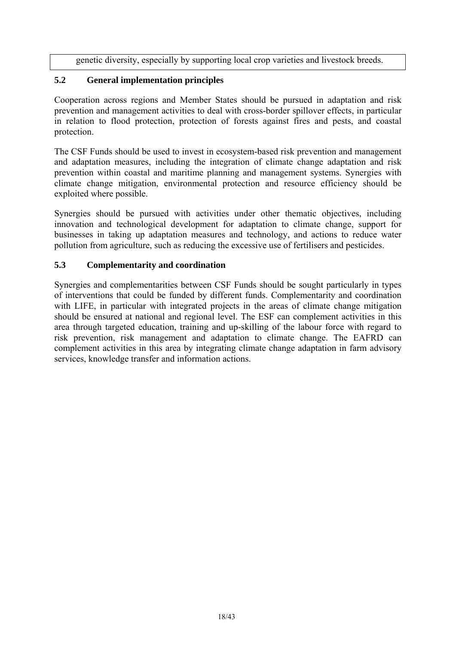genetic diversity, especially by supporting local crop varieties and livestock breeds.

# **5.2 General implementation principles**

Cooperation across regions and Member States should be pursued in adaptation and risk prevention and management activities to deal with cross-border spillover effects, in particular in relation to flood protection, protection of forests against fires and pests, and coastal protection.

The CSF Funds should be used to invest in ecosystem-based risk prevention and management and adaptation measures, including the integration of climate change adaptation and risk prevention within coastal and maritime planning and management systems. Synergies with climate change mitigation, environmental protection and resource efficiency should be exploited where possible.

Synergies should be pursued with activities under other thematic objectives, including innovation and technological development for adaptation to climate change, support for businesses in taking up adaptation measures and technology, and actions to reduce water pollution from agriculture, such as reducing the excessive use of fertilisers and pesticides.

### **5.3 Complementarity and coordination**

Synergies and complementarities between CSF Funds should be sought particularly in types of interventions that could be funded by different funds. Complementarity and coordination with LIFE, in particular with integrated projects in the areas of climate change mitigation should be ensured at national and regional level. The ESF can complement activities in this area through targeted education, training and up-skilling of the labour force with regard to risk prevention, risk management and adaptation to climate change. The EAFRD can complement activities in this area by integrating climate change adaptation in farm advisory services, knowledge transfer and information actions.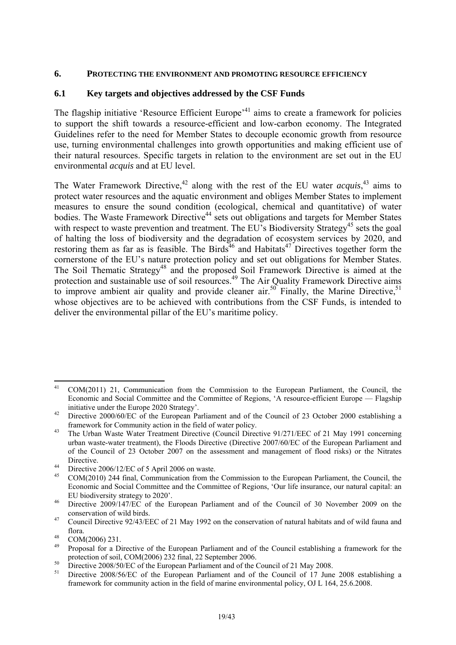#### <span id="page-18-0"></span>**6. PROTECTING THE ENVIRONMENT AND PROMOTING RESOURCE EFFICIENCY**

#### **6.1 Key targets and objectives addressed by the CSF Funds**

The flagship initiative 'Resource Efficient Europe'<sup>41</sup> aims to create a framework for policies to support the shift towards a resource-efficient and low-carbon economy. The Integrated Guidelines refer to the need for Member States to decouple economic growth from resource use, turning environmental challenges into growth opportunities and making efficient use of their natural resources. Specific targets in relation to the environment are set out in the EU environmental *acquis* and at EU level.

The Water Framework Directive,<sup>42</sup> along with the rest of the EU water *acquis*,<sup>43</sup> aims to protect water resources and the aquatic environment and obliges Member States to implement measures to ensure the sound condition (ecological, chemical and quantitative) of water bodies. The Waste Framework Directive<sup>44</sup> sets out obligations and targets for Member States with respect to waste prevention and treatment. The EU's Biodiversity Strategy<sup>45</sup> sets the goal of halting the loss of biodiversity and the degradation of ecosystem services by 2020, and restoring them as far as is feasible. The Birds<sup>46</sup> and Habitats<sup>47</sup> Directives together form the cornerstone of the EU's nature protection policy and set out obligations for Member States. The Soil Thematic Strategy<sup>48</sup> and the proposed Soil Framework Directive is aimed at the protection and sustainable use of soil resources.<sup>49</sup> The Air Quality Framework Directive aims to improve ambient air quality and provide cleaner air.<sup>50</sup> Finally, the Marine Directive,<sup>51</sup> whose objectives are to be achieved with contributions from the CSF Funds, is intended to deliver the environmental pillar of the EU's maritime policy.

<sup>1</sup> 41 COM(2011) 21, Communication from the Commission to the European Parliament, the Council, the Economic and Social Committee and the Committee of Regions, 'A resource-efficient Europe — Flagship

initiative under the Europe 2020 Strategy'.<br>42 Directive 2000/60/EC of the European Parliament and of the Council of 23 October 2000 establishing a

framework for Community action in the field of water policy. 43 The Urban Waste Water Treatment Directive (Council Directive 91/271/EEC of 21 May 1991 concerning urban waste-water treatment), the Floods Directive (Directive 2007/60/EC of the European Parliament and of the Council of 23 October 2007 on the assessment and management of flood risks) or the Nitrates

Directive.<br>  $^{44}$  Directive 2006/12/EC of 5 April 2006 on waste.<br>  $^{45}$  COM(2010) 244 Surl Communication from the

<sup>45</sup> COM(2010) 244 final, Communication from the Commission to the European Parliament, the Council, the Economic and Social Committee and the Committee of Regions, 'Our life insurance, our natural capital: an EU biodiversity strategy to 2020'. 46 Directive 2009/147/EC of the European Parliament and of the Council of 30 November 2009 on the

conservation of wild birds. 47 Council Directive 92/43/EEC of 21 May 1992 on the conservation of natural habitats and of wild fauna and

flora.<br>  $^{48}$  COM(2006) 231.<br>  $^{49}$  Proposed for a Di

<sup>49</sup> Proposal for a Directive of the European Parliament and of the Council establishing a framework for the [protection of soil, COM](http://eur-lex.europa.eu/LexUriServ/LexUriServ.do?uri=CELEX:32008L0050:EN:NOT)(2006) 232 final, 22 September 2006.<br> [Directive 2008/50/EC o](http://eur-lex.europa.eu/LexUriServ/LexUriServ.do?uri=CELEX:32008L0050:EN:NOT)f the European Parliament and of the Council of 21 May 2008.

Directive 2008/56/EC of the European Parliament and of the Council of 17 June 2008 establishing a framework for community action in the field of marine environmental policy, OJ L 164, 25.6.2008.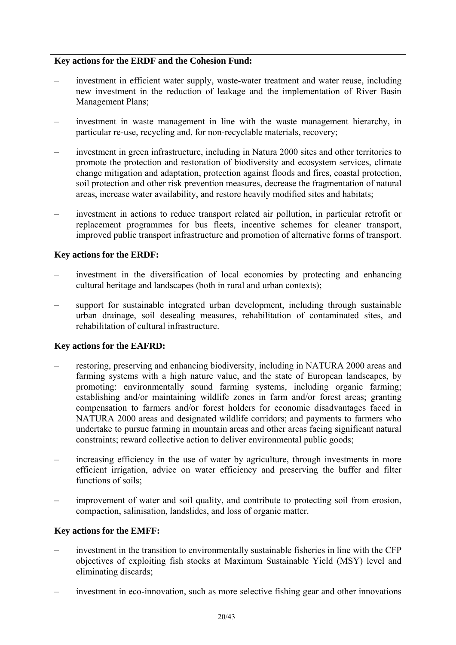# **Key actions for the ERDF and the Cohesion Fund:**

- investment in efficient water supply, waste-water treatment and water reuse, including new investment in the reduction of leakage and the implementation of River Basin Management Plans;
- investment in waste management in line with the waste management hierarchy, in particular re-use, recycling and, for non-recyclable materials, recovery;
- investment in green infrastructure, including in Natura 2000 sites and other territories to promote the protection and restoration of biodiversity and ecosystem services, climate change mitigation and adaptation, protection against floods and fires, coastal protection, soil protection and other risk prevention measures, decrease the fragmentation of natural areas, increase water availability, and restore heavily modified sites and habitats;
- investment in actions to reduce transport related air pollution, in particular retrofit or replacement programmes for bus fleets, incentive schemes for cleaner transport, improved public transport infrastructure and promotion of alternative forms of transport.

### **Key actions for the ERDF:**

- investment in the diversification of local economies by protecting and enhancing cultural heritage and landscapes (both in rural and urban contexts);
- support for sustainable integrated urban development, including through sustainable urban drainage, soil desealing measures, rehabilitation of contaminated sites, and rehabilitation of cultural infrastructure.

# **Key actions for the EAFRD:**

- restoring, preserving and enhancing biodiversity, including in NATURA 2000 areas and farming systems with a high nature value, and the state of European landscapes, by promoting: environmentally sound farming systems, including organic farming; establishing and/or maintaining wildlife zones in farm and/or forest areas; granting compensation to farmers and/or forest holders for economic disadvantages faced in NATURA 2000 areas and designated wildlife corridors; and payments to farmers who undertake to pursue farming in mountain areas and other areas facing significant natural constraints; reward collective action to deliver environmental public goods;
- increasing efficiency in the use of water by agriculture, through investments in more efficient irrigation, advice on water efficiency and preserving the buffer and filter functions of soils;
- improvement of water and soil quality, and contribute to protecting soil from erosion, compaction, salinisation, landslides, and loss of organic matter.

### **Key actions for the EMFF:**

- investment in the transition to environmentally sustainable fisheries in line with the CFP objectives of exploiting fish stocks at Maximum Sustainable Yield (MSY) level and eliminating discards;
- investment in eco-innovation, such as more selective fishing gear and other innovations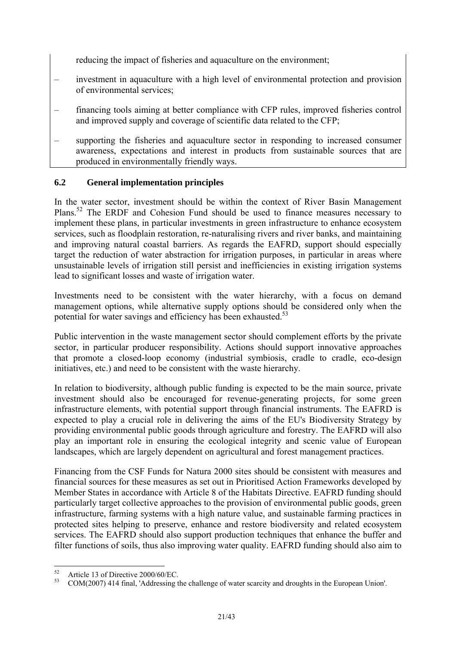reducing the impact of fisheries and aquaculture on the environment;

- investment in aquaculture with a high level of environmental protection and provision of environmental services;
- financing tools aiming at better compliance with CFP rules, improved fisheries control and improved supply and coverage of scientific data related to the CFP;
- supporting the fisheries and aquaculture sector in responding to increased consumer awareness, expectations and interest in products from sustainable sources that are produced in environmentally friendly ways.

## **6.2 General implementation principles**

In the water sector, investment should be within the context of River Basin Management Plans.<sup>52</sup> The ERDF and Cohesion Fund should be used to finance measures necessary to implement these plans, in particular investments in green infrastructure to enhance ecosystem services, such as floodplain restoration, re-naturalising rivers and river banks, and maintaining and improving natural coastal barriers. As regards the EAFRD, support should especially target the reduction of water abstraction for irrigation purposes, in particular in areas where unsustainable levels of irrigation still persist and inefficiencies in existing irrigation systems lead to significant losses and waste of irrigation water.

Investments need to be consistent with the water hierarchy, with a focus on demand management options, while alternative supply options should be considered only when the potential for water savings and efficiency has been exhausted.<sup>53</sup>

Public intervention in the waste management sector should complement efforts by the private sector, in particular producer responsibility. Actions should support innovative approaches that promote a closed-loop economy (industrial symbiosis, cradle to cradle, eco-design initiatives, etc.) and need to be consistent with the waste hierarchy.

In relation to biodiversity, although public funding is expected to be the main source, private investment should also be encouraged for revenue-generating projects, for some green infrastructure elements, with potential support through financial instruments. The EAFRD is expected to play a crucial role in delivering the aims of the EU's Biodiversity Strategy by providing environmental public goods through agriculture and forestry. The EAFRD will also play an important role in ensuring the ecological integrity and scenic value of European landscapes, which are largely dependent on agricultural and forest management practices.

Financing from the CSF Funds for Natura 2000 sites should be consistent with measures and financial sources for these measures as set out in Prioritised Action Frameworks developed by Member States in accordance with Article 8 of the Habitats Directive. EAFRD funding should particularly target collective approaches to the provision of environmental public goods, green infrastructure, farming systems with a high nature value, and sustainable farming practices in protected sites helping to preserve, enhance and restore biodiversity and related ecosystem services. The EAFRD should also support production techniques that enhance the buffer and filter functions of soils, thus also improving water quality. EAFRD funding should also aim to

<sup>52</sup>  $^{52}$  Article 13 of Directive 2000/60/EC.

<sup>53</sup> COM(2007) 414 final, 'Addressing the challenge of water scarcity and droughts in the European Union'.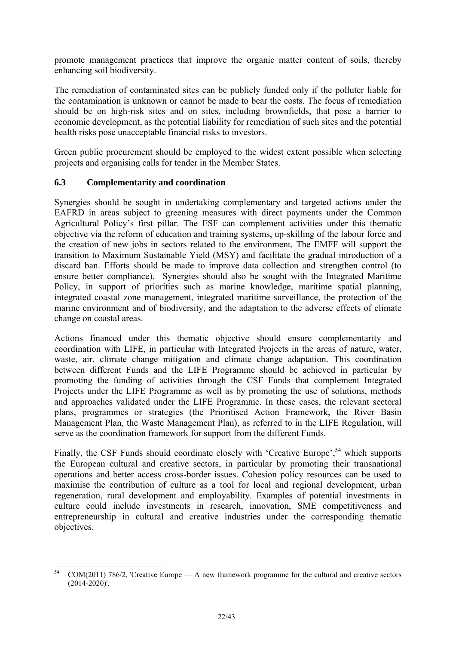promote management practices that improve the organic matter content of soils, thereby enhancing soil biodiversity.

The remediation of contaminated sites can be publicly funded only if the polluter liable for the contamination is unknown or cannot be made to bear the costs. The focus of remediation should be on high-risk sites and on sites, including brownfields, that pose a barrier to economic development, as the potential liability for remediation of such sites and the potential health risks pose unacceptable financial risks to investors.

Green public procurement should be employed to the widest extent possible when selecting projects and organising calls for tender in the Member States.

## **6.3 Complementarity and coordination**

Synergies should be sought in undertaking complementary and targeted actions under the EAFRD in areas subject to greening measures with direct payments under the Common Agricultural Policy's first pillar. The ESF can complement activities under this thematic objective via the reform of education and training systems, up-skilling of the labour force and the creation of new jobs in sectors related to the environment. The EMFF will support the transition to Maximum Sustainable Yield (MSY) and facilitate the gradual introduction of a discard ban. Efforts should be made to improve data collection and strengthen control (to ensure better compliance). Synergies should also be sought with the Integrated Maritime Policy, in support of priorities such as marine knowledge, maritime spatial planning, integrated coastal zone management, integrated maritime surveillance, the protection of the marine environment and of biodiversity, and the adaptation to the adverse effects of climate change on coastal areas.

Actions financed under this thematic objective should ensure complementarity and coordination with LIFE, in particular with Integrated Projects in the areas of nature, water, waste, air, climate change mitigation and climate change adaptation. This coordination between different Funds and the LIFE Programme should be achieved in particular by promoting the funding of activities through the CSF Funds that complement Integrated Projects under the LIFE Programme as well as by promoting the use of solutions, methods and approaches validated under the LIFE Programme. In these cases, the relevant sectoral plans, programmes or strategies (the Prioritised Action Framework, the River Basin Management Plan, the Waste Management Plan), as referred to in the LIFE Regulation, will serve as the coordination framework for support from the different Funds.

Finally, the CSF Funds should coordinate closely with 'Creative Europe',<sup>54</sup> which supports the European cultural and creative sectors, in particular by promoting their transnational operations and better access cross-border issues. Cohesion policy resources can be used to maximise the contribution of culture as a tool for local and regional development, urban regeneration, rural development and employability. Examples of potential investments in culture could include investments in research, innovation, SME competitiveness and entrepreneurship in cultural and creative industries under the corresponding thematic objectives.

 $54$  $COM(2011)$  786/2, 'Creative Europe — A new framework programme for the cultural and creative sectors  $(2014-2020)'$ .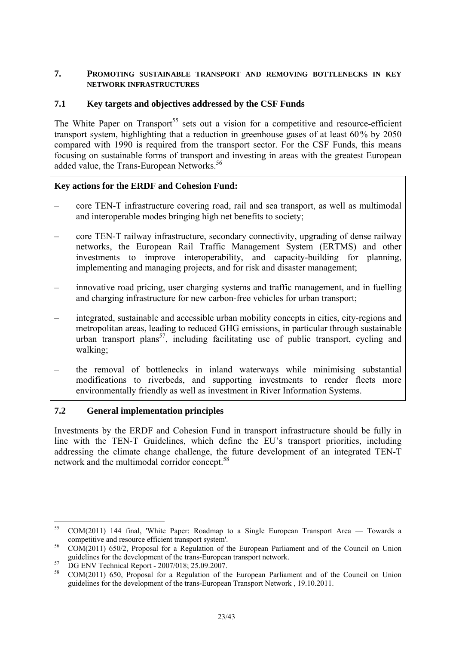#### <span id="page-22-0"></span>**7. PROMOTING SUSTAINABLE TRANSPORT AND REMOVING BOTTLENECKS IN KEY NETWORK INFRASTRUCTURES**

## **7.1 Key targets and objectives addressed by the CSF Funds**

The White Paper on Transport<sup>55</sup> sets out a vision for a competitive and resource-efficient transport system, highlighting that a reduction in greenhouse gases of at least 60% by 2050 compared with 1990 is required from the transport sector. For the CSF Funds, this means focusing on sustainable forms of transport and investing in areas with the greatest European added value, the Trans-European Networks.<sup>56</sup>

### **Key actions for the ERDF and Cohesion Fund:**

- core TEN-T infrastructure covering road, rail and sea transport, as well as multimodal and interoperable modes bringing high net benefits to society;
- core TEN-T railway infrastructure, secondary connectivity, upgrading of dense railway networks, the European Rail Traffic Management System (ERTMS) and other investments to improve interoperability, and capacity-building for planning, implementing and managing projects, and for risk and disaster management;
- innovative road pricing, user charging systems and traffic management, and in fuelling and charging infrastructure for new carbon-free vehicles for urban transport;
- integrated, sustainable and accessible urban mobility concepts in cities, city-regions and metropolitan areas, leading to reduced GHG emissions, in particular through sustainable urban transport plans<sup>57</sup>, including facilitating use of public transport, cycling and walking;
- the removal of bottlenecks in inland waterways while minimising substantial modifications to riverbeds, and supporting investments to render fleets more environmentally friendly as well as investment in River Information Systems.

### **7.2 General implementation principles**

Investments by the ERDF and Cohesion Fund in transport infrastructure should be fully in line with the TEN-T Guidelines, which define the EU's transport priorities, including addressing the climate change challenge, the future development of an integrated TEN-T network and the multimodal corridor concept.<sup>58</sup>

 $55$ 55 COM(2011) 144 final, 'White Paper: Roadmap to a Single European Transport Area — Towards a competitive and resource efficient transport system'. 56 COM(2011) 650/2, Proposal for a Regulation of the European Parliament and of the Council on Union

guidelines for the development of the trans-European transport network.<br>57 DG ENV Technical Report - 2007/018; 25.09.2007.

<sup>58</sup> COM(2011) 650, Proposal for a Regulation of the European Parliament and of the Council on Union guidelines for the development of the trans-European Transport Network , 19.10.2011.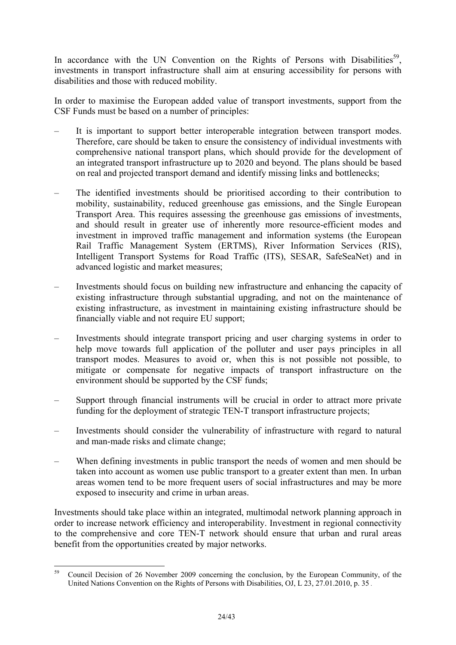In accordance with the UN Convention on the Rights of Persons with Disabilities<sup>59</sup>, investments in transport infrastructure shall aim at ensuring accessibility for persons with disabilities and those with reduced mobility.

In order to maximise the European added value of transport investments, support from the CSF Funds must be based on a number of principles:

- It is important to support better interoperable integration between transport modes. Therefore, care should be taken to ensure the consistency of individual investments with comprehensive national transport plans, which should provide for the development of an integrated transport infrastructure up to 2020 and beyond. The plans should be based on real and projected transport demand and identify missing links and bottlenecks;
- The identified investments should be prioritised according to their contribution to mobility, sustainability, reduced greenhouse gas emissions, and the Single European Transport Area. This requires assessing the greenhouse gas emissions of investments, and should result in greater use of inherently more resource-efficient modes and investment in improved traffic management and information systems (the European Rail Traffic Management System (ERTMS), River Information Services (RIS), Intelligent Transport Systems for Road Traffic (ITS), SESAR, SafeSeaNet) and in advanced logistic and market measures;
- Investments should focus on building new infrastructure and enhancing the capacity of existing infrastructure through substantial upgrading, and not on the maintenance of existing infrastructure, as investment in maintaining existing infrastructure should be financially viable and not require EU support;
- Investments should integrate transport pricing and user charging systems in order to help move towards full application of the polluter and user pays principles in all transport modes. Measures to avoid or, when this is not possible not possible, to mitigate or compensate for negative impacts of transport infrastructure on the environment should be supported by the CSF funds;
- Support through financial instruments will be crucial in order to attract more private funding for the deployment of strategic TEN-T transport infrastructure projects;
- Investments should consider the vulnerability of infrastructure with regard to natural and man-made risks and climate change;
- When defining investments in public transport the needs of women and men should be taken into account as women use public transport to a greater extent than men. In urban areas women tend to be more frequent users of social infrastructures and may be more exposed to insecurity and crime in urban areas.

Investments should take place within an integrated, multimodal network planning approach in order to increase network efficiency and interoperability. Investment in regional connectivity to the comprehensive and core TEN-T network should ensure that urban and rural areas benefit from the opportunities created by major networks.

<sup>59</sup> 59 Council Decision of 26 November 2009 concerning the conclusion, by the European Community, of the United Nations Convention on the Rights of Persons with Disabilities, OJ, L 23, 27.01.2010, p. 35 .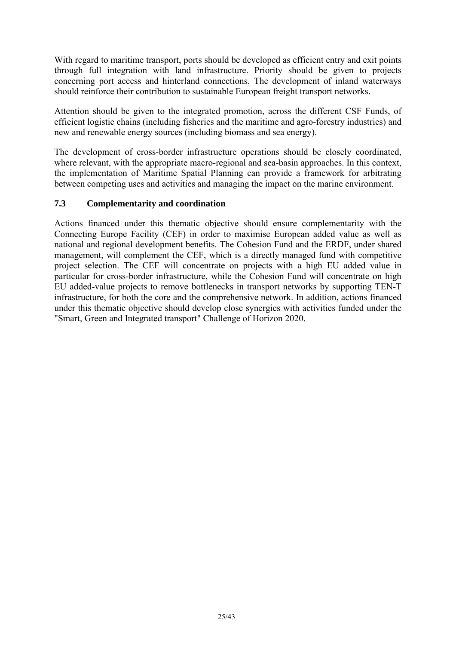With regard to maritime transport, ports should be developed as efficient entry and exit points through full integration with land infrastructure. Priority should be given to projects concerning port access and hinterland connections. The development of inland waterways should reinforce their contribution to sustainable European freight transport networks.

Attention should be given to the integrated promotion, across the different CSF Funds, of efficient logistic chains (including fisheries and the maritime and agro-forestry industries) and new and renewable energy sources (including biomass and sea energy).

The development of cross-border infrastructure operations should be closely coordinated, where relevant, with the appropriate macro-regional and sea-basin approaches. In this context, the implementation of Maritime Spatial Planning can provide a framework for arbitrating between competing uses and activities and managing the impact on the marine environment.

### **7.3 Complementarity and coordination**

Actions financed under this thematic objective should ensure complementarity with the Connecting Europe Facility (CEF) in order to maximise European added value as well as national and regional development benefits. The Cohesion Fund and the ERDF, under shared management, will complement the CEF, which is a directly managed fund with competitive project selection. The CEF will concentrate on projects with a high EU added value in particular for cross-border infrastructure, while the Cohesion Fund will concentrate on high EU added-value projects to remove bottlenecks in transport networks by supporting TEN-T infrastructure, for both the core and the comprehensive network. In addition, actions financed under this thematic objective should develop close synergies with activities funded under the "Smart, Green and Integrated transport" Challenge of Horizon 2020.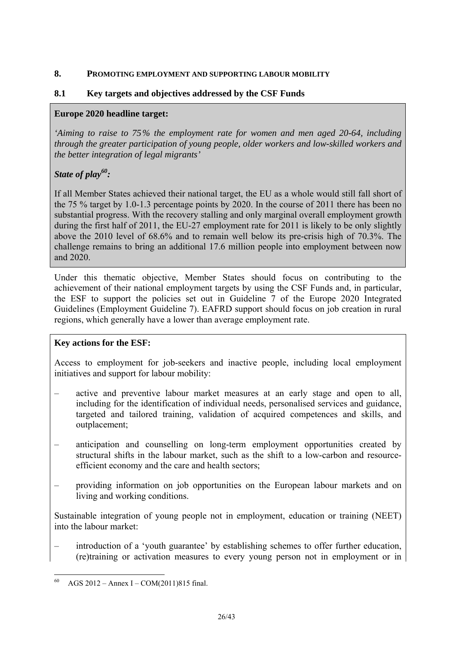#### <span id="page-25-0"></span>**8. PROMOTING EMPLOYMENT AND SUPPORTING LABOUR MOBILITY**

## **8.1 Key targets and objectives addressed by the CSF Funds**

## **Europe 2020 headline target:**

*'Aiming to raise to 75% the employment rate for women and men aged 20-64, including through the greater participation of young people, older workers and low-skilled workers and the better integration of legal migrants'* 

# *State of play60:*

If all Member States achieved their national target, the EU as a whole would still fall short of the 75 % target by 1.0-1.3 percentage points by 2020. In the course of 2011 there has been no substantial progress. With the recovery stalling and only marginal overall employment growth during the first half of 2011, the EU-27 employment rate for 2011 is likely to be only slightly above the 2010 level of 68.6% and to remain well below its pre-crisis high of 70.3%. The challenge remains to bring an additional 17.6 million people into employment between now and 2020.

Under this thematic objective, Member States should focus on contributing to the achievement of their national employment targets by using the CSF Funds and, in particular, the ESF to support the policies set out in Guideline 7 of the Europe 2020 Integrated Guidelines (Employment Guideline 7). EAFRD support should focus on job creation in rural regions, which generally have a lower than average employment rate.

# **Key actions for the ESF:**

Access to employment for job-seekers and inactive people, including local employment initiatives and support for labour mobility:

- active and preventive labour market measures at an early stage and open to all, including for the identification of individual needs, personalised services and guidance, targeted and tailored training, validation of acquired competences and skills, and outplacement;
- anticipation and counselling on long-term employment opportunities created by structural shifts in the labour market, such as the shift to a low-carbon and resourceefficient economy and the care and health sectors;
- providing information on job opportunities on the European labour markets and on living and working conditions.

Sustainable integration of young people not in employment, education or training (NEET) into the labour market:

– introduction of a 'youth guarantee' by establishing schemes to offer further education, (re)training or activation measures to every young person not in employment or in

<sup>&</sup>lt;u>.</u> AGS  $2012 -$  Annex I – COM(2011)815 final.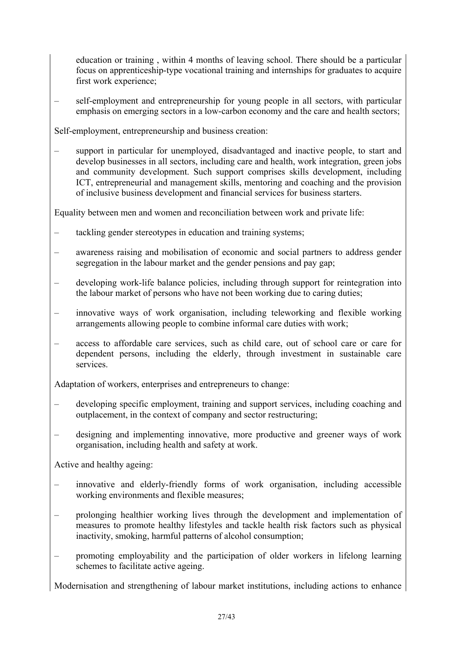education or training , within 4 months of leaving school. There should be a particular focus on apprenticeship-type vocational training and internships for graduates to acquire first work experience;

– self-employment and entrepreneurship for young people in all sectors, with particular emphasis on emerging sectors in a low-carbon economy and the care and health sectors;

Self-employment, entrepreneurship and business creation:

– support in particular for unemployed, disadvantaged and inactive people, to start and develop businesses in all sectors, including care and health, work integration, green jobs and community development. Such support comprises skills development, including ICT, entrepreneurial and management skills, mentoring and coaching and the provision of inclusive business development and financial services for business starters.

Equality between men and women and reconciliation between work and private life:

- tackling gender stereotypes in education and training systems;
- awareness raising and mobilisation of economic and social partners to address gender segregation in the labour market and the gender pensions and pay gap;
- developing work-life balance policies, including through support for reintegration into the labour market of persons who have not been working due to caring duties;
- innovative ways of work organisation, including teleworking and flexible working arrangements allowing people to combine informal care duties with work;
- access to affordable care services, such as child care, out of school care or care for dependent persons, including the elderly, through investment in sustainable care services.

Adaptation of workers, enterprises and entrepreneurs to change:

- developing specific employment, training and support services, including coaching and outplacement, in the context of company and sector restructuring;
- designing and implementing innovative, more productive and greener ways of work organisation, including health and safety at work.

Active and healthy ageing:

- innovative and elderly-friendly forms of work organisation, including accessible working environments and flexible measures;
- prolonging healthier working lives through the development and implementation of measures to promote healthy lifestyles and tackle health risk factors such as physical inactivity, smoking, harmful patterns of alcohol consumption;
- promoting employability and the participation of older workers in lifelong learning schemes to facilitate active ageing.

Modernisation and strengthening of labour market institutions, including actions to enhance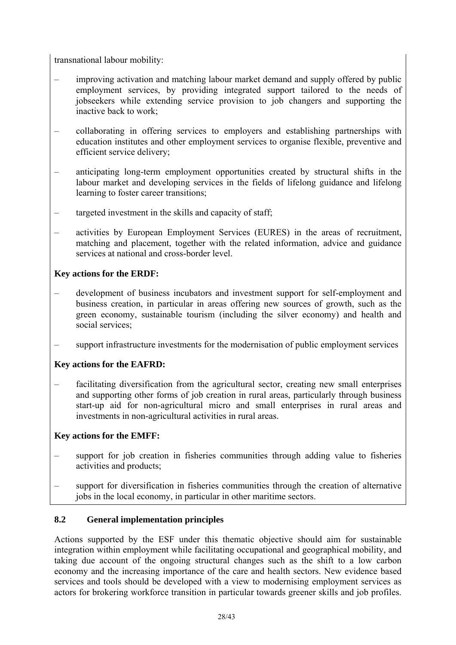transnational labour mobility:

- improving activation and matching labour market demand and supply offered by public employment services, by providing integrated support tailored to the needs of jobseekers while extending service provision to job changers and supporting the inactive back to work;
- collaborating in offering services to employers and establishing partnerships with education institutes and other employment services to organise flexible, preventive and efficient service delivery;
- anticipating long-term employment opportunities created by structural shifts in the labour market and developing services in the fields of lifelong guidance and lifelong learning to foster career transitions;
- targeted investment in the skills and capacity of staff;
- activities by European Employment Services (EURES) in the areas of recruitment, matching and placement, together with the related information, advice and guidance services at national and cross-border level.

# **Key actions for the ERDF:**

- development of business incubators and investment support for self-employment and business creation, in particular in areas offering new sources of growth, such as the green economy, sustainable tourism (including the silver economy) and health and social services:
- support infrastructure investments for the modernisation of public employment services

# **Key actions for the EAFRD:**

– facilitating diversification from the agricultural sector, creating new small enterprises and supporting other forms of job creation in rural areas, particularly through business start-up aid for non-agricultural micro and small enterprises in rural areas and investments in non-agricultural activities in rural areas.

# **Key actions for the EMFF:**

- support for job creation in fisheries communities through adding value to fisheries activities and products;
- support for diversification in fisheries communities through the creation of alternative jobs in the local economy, in particular in other maritime sectors.

# **8.2 General implementation principles**

Actions supported by the ESF under this thematic objective should aim for sustainable integration within employment while facilitating occupational and geographical mobility, and taking due account of the ongoing structural changes such as the shift to a low carbon economy and the increasing importance of the care and health sectors. New evidence based services and tools should be developed with a view to modernising employment services as actors for brokering workforce transition in particular towards greener skills and job profiles.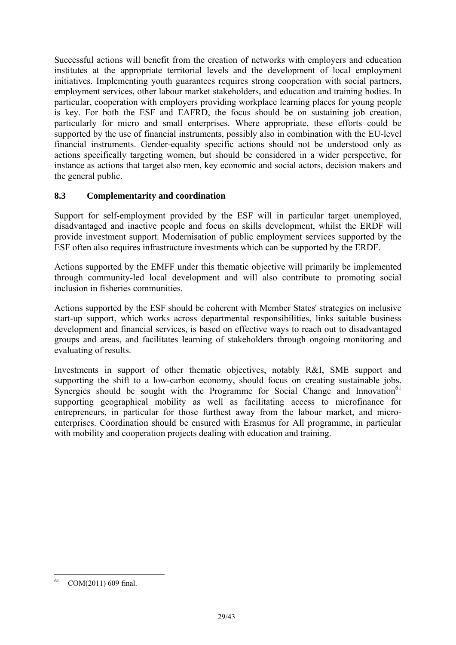Successful actions will benefit from the creation of networks with employers and education institutes at the appropriate territorial levels and the development of local employment initiatives. Implementing youth guarantees requires strong cooperation with social partners, employment services, other labour market stakeholders, and education and training bodies. In particular, cooperation with employers providing workplace learning places for young people is key. For both the ESF and EAFRD, the focus should be on sustaining job creation, particularly for micro and small enterprises. Where appropriate, these efforts could be supported by the use of financial instruments, possibly also in combination with the EU-level financial instruments. Gender-equality specific actions should not be understood only as actions specifically targeting women, but should be considered in a wider perspective, for instance as actions that target also men, key economic and social actors, decision makers and the general public.

## **8.3 Complementarity and coordination**

Support for self-employment provided by the ESF will in particular target unemployed, disadvantaged and inactive people and focus on skills development, whilst the ERDF will provide investment support. Modernisation of public employment services supported by the ESF often also requires infrastructure investments which can be supported by the ERDF.

Actions supported by the EMFF under this thematic objective will primarily be implemented through community-led local development and will also contribute to promoting social inclusion in fisheries communities.

Actions supported by the ESF should be coherent with Member States' strategies on inclusive start-up support, which works across departmental responsibilities, links suitable business development and financial services, is based on effective ways to reach out to disadvantaged groups and areas, and facilitates learning of stakeholders through ongoing monitoring and evaluating of results.

Investments in support of other thematic objectives, notably R&I, SME support and supporting the shift to a low-carbon economy, should focus on creating sustainable jobs. Synergies should be sought with the Programme for Social Change and Innovation<sup>61</sup> supporting geographical mobility as well as facilitating access to microfinance for entrepreneurs, in particular for those furthest away from the labour market, and microenterprises. Coordination should be ensured with Erasmus for All programme, in particular with mobility and cooperation projects dealing with education and training.

<sup>&</sup>lt;u>.</u> COM(2011) 609 final.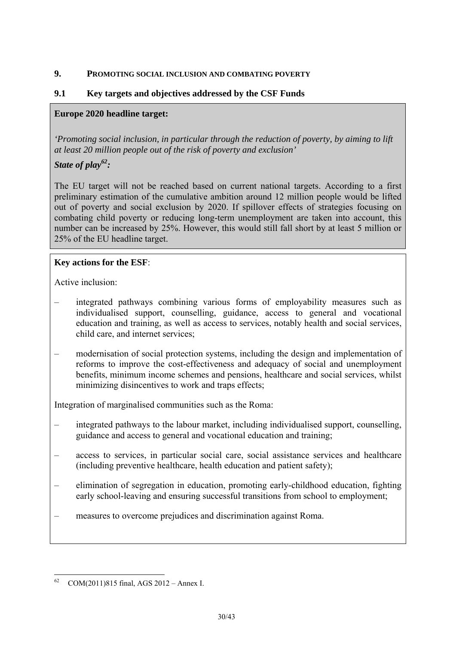#### <span id="page-29-0"></span>**9. PROMOTING SOCIAL INCLUSION AND COMBATING POVERTY**

## **9.1 Key targets and objectives addressed by the CSF Funds**

## **Europe 2020 headline target:**

*'Promoting social inclusion, in particular through the reduction of poverty, by aiming to lift at least 20 million people out of the risk of poverty and exclusion'* 

# *State of play62:*

The EU target will not be reached based on current national targets. According to a first preliminary estimation of the cumulative ambition around 12 million people would be lifted out of poverty and social exclusion by 2020. If spillover effects of strategies focusing on combating child poverty or reducing long-term unemployment are taken into account, this number can be increased by 25%. However, this would still fall short by at least 5 million or 25% of the EU headline target.

# **Key actions for the ESF**:

Active inclusion:

- integrated pathways combining various forms of employability measures such as individualised support, counselling, guidance, access to general and vocational education and training, as well as access to services, notably health and social services, child care, and internet services;
- modernisation of social protection systems, including the design and implementation of reforms to improve the cost-effectiveness and adequacy of social and unemployment benefits, minimum income schemes and pensions, healthcare and social services, whilst minimizing disincentives to work and traps effects;

Integration of marginalised communities such as the Roma:

- integrated pathways to the labour market, including individualised support, counselling, guidance and access to general and vocational education and training;
- access to services, in particular social care, social assistance services and healthcare (including preventive healthcare, health education and patient safety);
- elimination of segregation in education, promoting early-childhood education, fighting early school-leaving and ensuring successful transitions from school to employment;
- measures to overcome prejudices and discrimination against Roma.

<sup>&</sup>lt;u>.</u> 62 COM(2011)815 final, AGS 2012 – Annex I.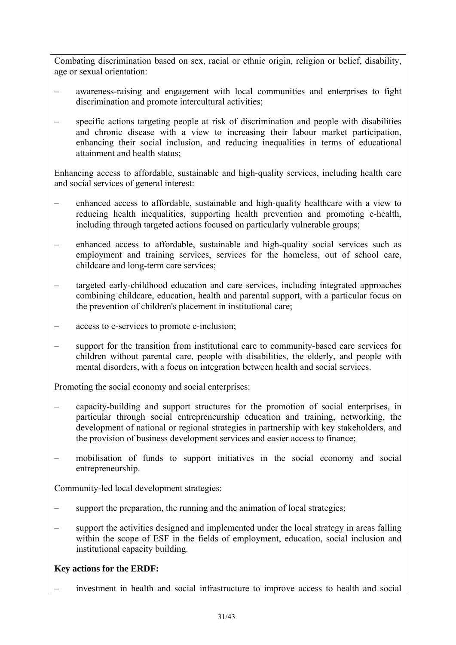Combating discrimination based on sex, racial or ethnic origin, religion or belief, disability, age or sexual orientation:

- awareness-raising and engagement with local communities and enterprises to fight discrimination and promote intercultural activities;
- specific actions targeting people at risk of discrimination and people with disabilities and chronic disease with a view to increasing their labour market participation, enhancing their social inclusion, and reducing inequalities in terms of educational attainment and health status;

Enhancing access to affordable, sustainable and high-quality services, including health care and social services of general interest:

- enhanced access to affordable, sustainable and high-quality healthcare with a view to reducing health inequalities, supporting health prevention and promoting e-health, including through targeted actions focused on particularly vulnerable groups;
- enhanced access to affordable, sustainable and high-quality social services such as employment and training services, services for the homeless, out of school care, childcare and long-term care services;
- targeted early-childhood education and care services, including integrated approaches combining childcare, education, health and parental support, with a particular focus on the prevention of children's placement in institutional care;
- access to e-services to promote e-inclusion;
- support for the transition from institutional care to community-based care services for children without parental care, people with disabilities, the elderly, and people with mental disorders, with a focus on integration between health and social services.

Promoting the social economy and social enterprises:

- capacity-building and support structures for the promotion of social enterprises, in particular through social entrepreneurship education and training, networking, the development of national or regional strategies in partnership with key stakeholders, and the provision of business development services and easier access to finance;
- mobilisation of funds to support initiatives in the social economy and social entrepreneurship.

Community-led local development strategies:

- support the preparation, the running and the animation of local strategies;
- support the activities designed and implemented under the local strategy in areas falling within the scope of ESF in the fields of employment, education, social inclusion and institutional capacity building.

# **Key actions for the ERDF:**

– investment in health and social infrastructure to improve access to health and social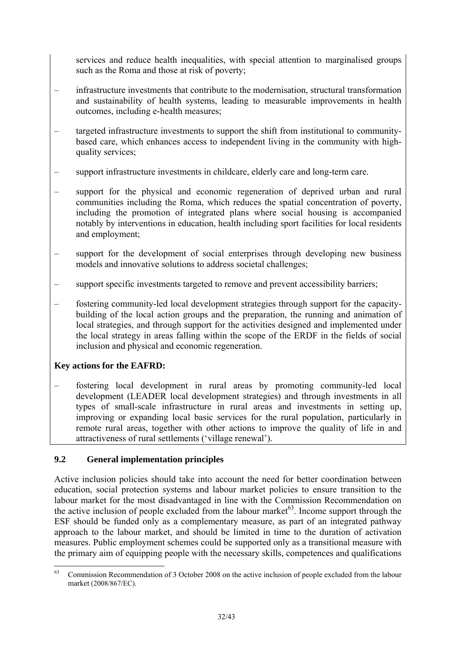services and reduce health inequalities, with special attention to marginalised groups such as the Roma and those at risk of poverty;

- infrastructure investments that contribute to the modernisation, structural transformation and sustainability of health systems, leading to measurable improvements in health outcomes, including e-health measures;
- targeted infrastructure investments to support the shift from institutional to communitybased care, which enhances access to independent living in the community with highquality services;
- support infrastructure investments in childcare, elderly care and long-term care.
- support for the physical and economic regeneration of deprived urban and rural communities including the Roma, which reduces the spatial concentration of poverty, including the promotion of integrated plans where social housing is accompanied notably by interventions in education, health including sport facilities for local residents and employment;
- support for the development of social enterprises through developing new business models and innovative solutions to address societal challenges;
- support specific investments targeted to remove and prevent accessibility barriers;
- fostering community-led local development strategies through support for the capacitybuilding of the local action groups and the preparation, the running and animation of local strategies, and through support for the activities designed and implemented under the local strategy in areas falling within the scope of the ERDF in the fields of social inclusion and physical and economic regeneration.

# **Key actions for the EAFRD:**

– fostering local development in rural areas by promoting community-led local development (LEADER local development strategies) and through investments in all types of small-scale infrastructure in rural areas and investments in setting up, improving or expanding local basic services for the rural population, particularly in remote rural areas, together with other actions to improve the quality of life in and attractiveness of rural settlements ('village renewal').

# **9.2 General implementation principles**

Active inclusion policies should take into account the need for better coordination between education, social protection systems and labour market policies to ensure transition to the labour market for the most disadvantaged in line with the Commission Recommendation on the active inclusion of people excluded from the labour market $63$ . Income support through the ESF should be funded only as a complementary measure, as part of an integrated pathway approach to the labour market, and should be limited in time to the duration of activation measures. Public employment schemes could be supported only as a transitional measure with the primary aim of equipping people with the necessary skills, competences and qualifications

<sup>63</sup> 63 Commission Recommendation of 3 October 2008 on the active inclusion of people excluded from the labour market (2008/867/EC).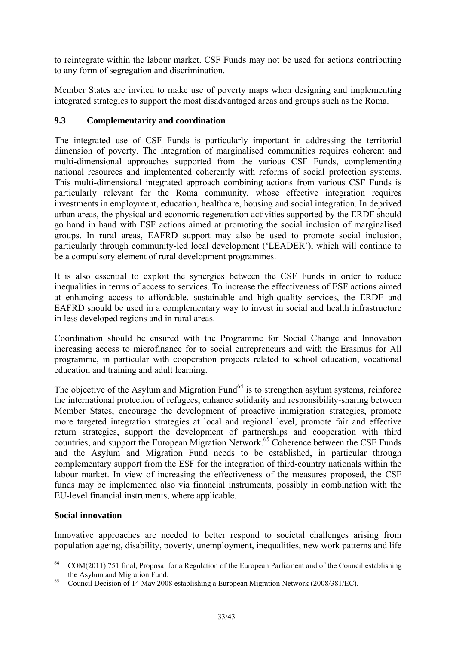to reintegrate within the labour market. CSF Funds may not be used for actions contributing to any form of segregation and discrimination.

Member States are invited to make use of poverty maps when designing and implementing integrated strategies to support the most disadvantaged areas and groups such as the Roma.

## **9.3 Complementarity and coordination**

The integrated use of CSF Funds is particularly important in addressing the territorial dimension of poverty. The integration of marginalised communities requires coherent and multi-dimensional approaches supported from the various CSF Funds, complementing national resources and implemented coherently with reforms of social protection systems. This multi-dimensional integrated approach combining actions from various CSF Funds is particularly relevant for the Roma community, whose effective integration requires investments in employment, education, healthcare, housing and social integration. In deprived urban areas, the physical and economic regeneration activities supported by the ERDF should go hand in hand with ESF actions aimed at promoting the social inclusion of marginalised groups. In rural areas, EAFRD support may also be used to promote social inclusion, particularly through community-led local development ('LEADER'), which will continue to be a compulsory element of rural development programmes.

It is also essential to exploit the synergies between the CSF Funds in order to reduce inequalities in terms of access to services. To increase the effectiveness of ESF actions aimed at enhancing access to affordable, sustainable and high-quality services, the ERDF and EAFRD should be used in a complementary way to invest in social and health infrastructure in less developed regions and in rural areas.

Coordination should be ensured with the Programme for Social Change and Innovation increasing access to microfinance for to social entrepreneurs and with the Erasmus for All programme, in particular with cooperation projects related to school education, vocational education and training and adult learning.

The objective of the Asylum and Migration Fund<sup>64</sup> is to strengthen asylum systems, reinforce the international protection of refugees, enhance solidarity and responsibility-sharing between Member States, encourage the development of proactive immigration strategies, promote more targeted integration strategies at local and regional level, promote fair and effective return strategies, support the development of partnerships and cooperation with third countries, and support the European Migration Network.<sup>65</sup> Coherence between the CSF Funds and the Asylum and Migration Fund needs to be established, in particular through complementary support from the ESF for the integration of third-country nationals within the labour market. In view of increasing the effectiveness of the measures proposed, the CSF funds may be implemented also via financial instruments, possibly in combination with the EU-level financial instruments, where applicable.

### **Social innovation**

1

Innovative approaches are needed to better respond to societal challenges arising from population ageing, disability, poverty, unemployment, inequalities, new work patterns and life

<sup>64</sup> COM(2011) 751 final, Proposal for a Regulation of the European Parliament and of the Council establishing the Asylum and Migration Fund.<br>
<sup>65</sup> Council Decision of 14 May 2008 establishing a European Migration Network (2008/381/EC).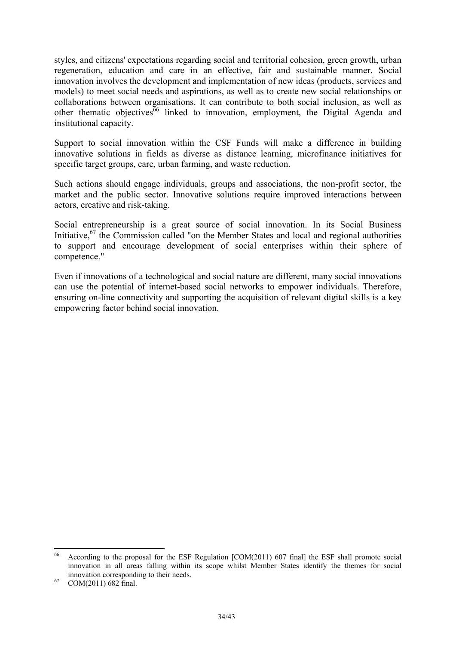styles, and citizens' expectations regarding social and territorial cohesion, green growth, urban regeneration, education and care in an effective, fair and sustainable manner. Social innovation involves the development and implementation of new ideas (products, services and models) to meet social needs and aspirations, as well as to create new social relationships or collaborations between organisations. It can contribute to both social inclusion, as well as other thematic objectives<sup>66</sup> linked to innovation, employment, the Digital Agenda and institutional capacity.

Support to social innovation within the CSF Funds will make a difference in building innovative solutions in fields as diverse as distance learning, microfinance initiatives for specific target groups, care, urban farming, and waste reduction.

Such actions should engage individuals, groups and associations, the non-profit sector, the market and the public sector. Innovative solutions require improved interactions between actors, creative and risk-taking.

Social entrepreneurship is a great source of social innovation. In its Social Business Initiative,  $67$  the Commission called "on the Member States and local and regional authorities to support and encourage development of social enterprises within their sphere of competence."

Even if innovations of a technological and social nature are different, many social innovations can use the potential of internet-based social networks to empower individuals. Therefore, ensuring on-line connectivity and supporting the acquisition of relevant digital skills is a key empowering factor behind social innovation.

<u>.</u>

<sup>66</sup> According to the proposal for the ESF Regulation [COM(2011) 607 final] the ESF shall promote social innovation in all areas falling within its scope whilst Member States identify the themes for social innovation corresponding to their needs. 67 COM(2011) 682 final.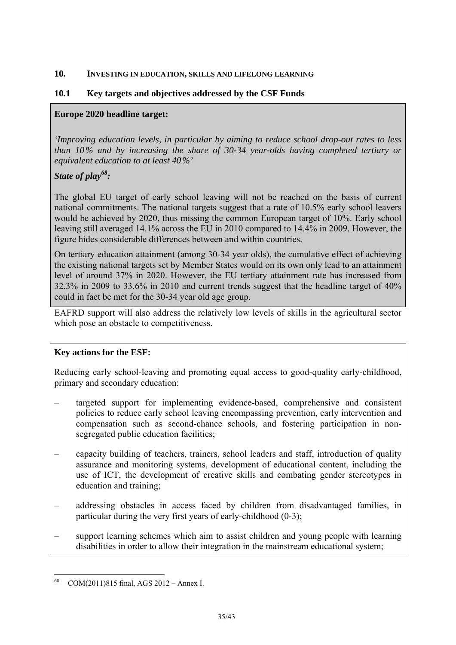#### <span id="page-34-0"></span>**10. INVESTING IN EDUCATION, SKILLS AND LIFELONG LEARNING**

## **10.1 Key targets and objectives addressed by the CSF Funds**

### **Europe 2020 headline target:**

*'Improving education levels, in particular by aiming to reduce school drop-out rates to less than 10% and by increasing the share of 30-34 year-olds having completed tertiary or equivalent education to at least 40%'* 

# *State of play68:*

The global EU target of early school leaving will not be reached on the basis of current national commitments. The national targets suggest that a rate of 10.5% early school leavers would be achieved by 2020, thus missing the common European target of 10%. Early school leaving still averaged 14.1% across the EU in 2010 compared to 14.4% in 2009. However, the figure hides considerable differences between and within countries.

On tertiary education attainment (among 30-34 year olds), the cumulative effect of achieving the existing national targets set by Member States would on its own only lead to an attainment level of around 37% in 2020. However, the EU tertiary attainment rate has increased from 32.3% in 2009 to 33.6% in 2010 and current trends suggest that the headline target of 40% could in fact be met for the 30-34 year old age group.

EAFRD support will also address the relatively low levels of skills in the agricultural sector which pose an obstacle to competitiveness.

### **Key actions for the ESF:**

Reducing early school-leaving and promoting equal access to good-quality early-childhood, primary and secondary education:

- targeted support for implementing evidence-based, comprehensive and consistent policies to reduce early school leaving encompassing prevention, early intervention and compensation such as second-chance schools, and fostering participation in nonsegregated public education facilities;
- capacity building of teachers, trainers, school leaders and staff, introduction of quality assurance and monitoring systems, development of educational content, including the use of ICT, the development of creative skills and combating gender stereotypes in education and training;
- addressing obstacles in access faced by children from disadvantaged families, in particular during the very first years of early-childhood (0-3);
- support learning schemes which aim to assist children and young people with learning disabilities in order to allow their integration in the mainstream educational system;

<sup>&</sup>lt;u>.</u> 68 COM(2011)815 final, AGS 2012 – Annex I.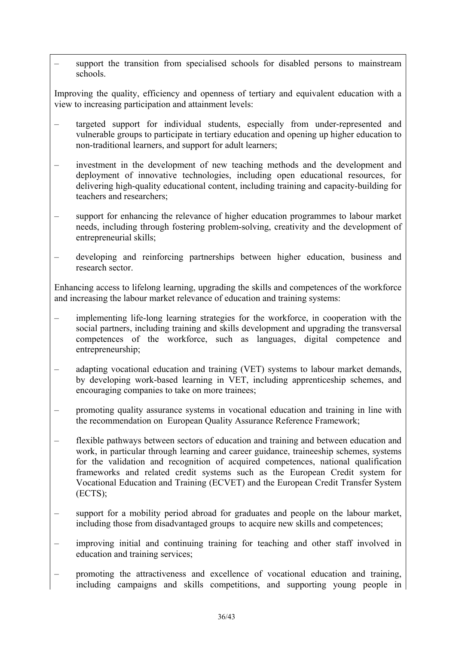– support the transition from specialised schools for disabled persons to mainstream schools.

Improving the quality, efficiency and openness of tertiary and equivalent education with a view to increasing participation and attainment levels:

- targeted support for individual students, especially from under-represented and vulnerable groups to participate in tertiary education and opening up higher education to non-traditional learners, and support for adult learners;
- investment in the development of new teaching methods and the development and deployment of innovative technologies, including open educational resources, for delivering high-quality educational content, including training and capacity-building for teachers and researchers;
- support for enhancing the relevance of higher education programmes to labour market needs, including through fostering problem-solving, creativity and the development of entrepreneurial skills;
- developing and reinforcing partnerships between higher education, business and research sector.

Enhancing access to lifelong learning, upgrading the skills and competences of the workforce and increasing the labour market relevance of education and training systems:

- implementing life-long learning strategies for the workforce, in cooperation with the social partners, including training and skills development and upgrading the transversal competences of the workforce, such as languages, digital competence and entrepreneurship;
- adapting vocational education and training (VET) systems to labour market demands, by developing work-based learning in VET, including apprenticeship schemes, and encouraging companies to take on more trainees;
- promoting quality assurance systems in vocational education and training in line with the recommendation on European Quality Assurance Reference Framework;
- flexible pathways between sectors of education and training and between education and work, in particular through learning and career guidance, traineeship schemes, systems for the validation and recognition of acquired competences, national qualification frameworks and related credit systems such as the European Credit system for Vocational Education and Training (ECVET) and the European Credit Transfer System (ECTS);
- support for a mobility period abroad for graduates and people on the labour market, including those from disadvantaged groups to acquire new skills and competences;
- improving initial and continuing training for teaching and other staff involved in education and training services;
- promoting the attractiveness and excellence of vocational education and training, including campaigns and skills competitions, and supporting young people in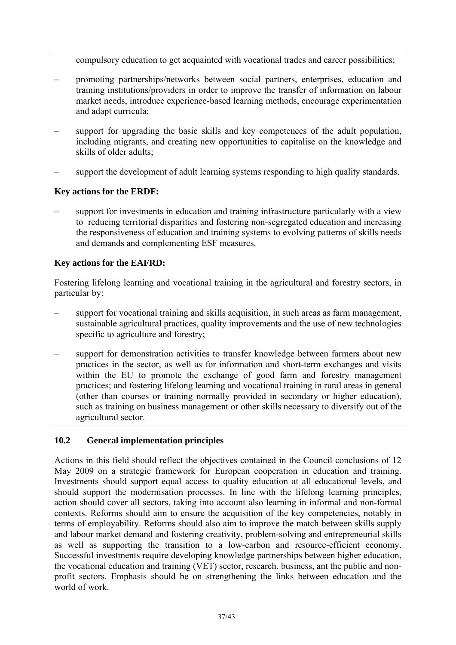compulsory education to get acquainted with vocational trades and career possibilities;

- promoting partnerships/networks between social partners, enterprises, education and training institutions/providers in order to improve the transfer of information on labour market needs, introduce experience-based learning methods, encourage experimentation and adapt curricula;
- support for upgrading the basic skills and key competences of the adult population, including migrants, and creating new opportunities to capitalise on the knowledge and skills of older adults;
- support the development of adult learning systems responding to high quality standards.

## **Key actions for the ERDF:**

– support for investments in education and training infrastructure particularly with a view to reducing territorial disparities and fostering non-segregated education and increasing the responsiveness of education and training systems to evolving patterns of skills needs and demands and complementing ESF measures.

# **Key actions for the EAFRD:**

Fostering lifelong learning and vocational training in the agricultural and forestry sectors, in particular by:

- support for vocational training and skills acquisition, in such areas as farm management, sustainable agricultural practices, quality improvements and the use of new technologies specific to agriculture and forestry;
- support for demonstration activities to transfer knowledge between farmers about new practices in the sector, as well as for information and short-term exchanges and visits within the EU to promote the exchange of good farm and forestry management practices; and fostering lifelong learning and vocational training in rural areas in general (other than courses or training normally provided in secondary or higher education), such as training on business management or other skills necessary to diversify out of the agricultural sector.

# **10.2 General implementation principles**

Actions in this field should reflect the objectives contained in the Council conclusions of 12 May 2009 on a strategic framework for European cooperation in education and training. Investments should support equal access to quality education at all educational levels, and should support the modernisation processes. In line with the lifelong learning principles, action should cover all sectors, taking into account also learning in informal and non-formal contexts. Reforms should aim to ensure the acquisition of the key competencies, notably in terms of employability. Reforms should also aim to improve the match between skills supply and labour market demand and fostering creativity, problem-solving and entrepreneurial skills as well as supporting the transition to a low-carbon and resource-efficient economy. Successful investments require developing knowledge partnerships between higher education, the vocational education and training (VET) sector, research, business, ant the public and nonprofit sectors. Emphasis should be on strengthening the links between education and the world of work.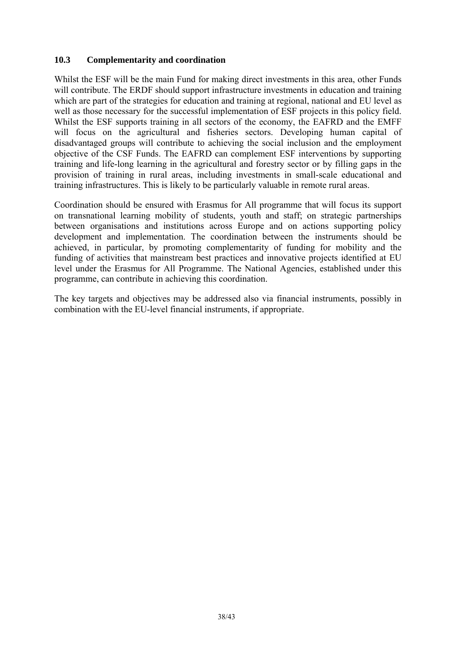### **10.3 Complementarity and coordination**

Whilst the ESF will be the main Fund for making direct investments in this area, other Funds will contribute. The ERDF should support infrastructure investments in education and training which are part of the strategies for education and training at regional, national and EU level as well as those necessary for the successful implementation of ESF projects in this policy field. Whilst the ESF supports training in all sectors of the economy, the EAFRD and the EMFF will focus on the agricultural and fisheries sectors. Developing human capital of disadvantaged groups will contribute to achieving the social inclusion and the employment objective of the CSF Funds. The EAFRD can complement ESF interventions by supporting training and life-long learning in the agricultural and forestry sector or by filling gaps in the provision of training in rural areas, including investments in small-scale educational and training infrastructures. This is likely to be particularly valuable in remote rural areas.

Coordination should be ensured with Erasmus for All programme that will focus its support on transnational learning mobility of students, youth and staff; on strategic partnerships between organisations and institutions across Europe and on actions supporting policy development and implementation. The coordination between the instruments should be achieved, in particular, by promoting complementarity of funding for mobility and the funding of activities that mainstream best practices and innovative projects identified at EU level under the Erasmus for All Programme. The National Agencies, established under this programme, can contribute in achieving this coordination.

The key targets and objectives may be addressed also via financial instruments, possibly in combination with the EU-level financial instruments, if appropriate.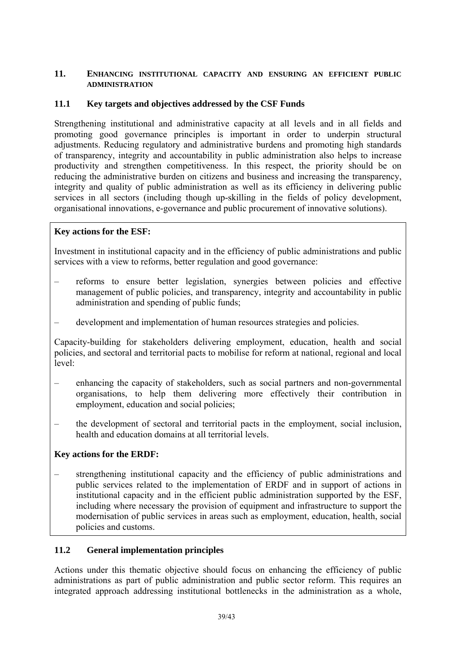#### <span id="page-38-0"></span>**11. ENHANCING INSTITUTIONAL CAPACITY AND ENSURING AN EFFICIENT PUBLIC ADMINISTRATION**

### **11.1 Key targets and objectives addressed by the CSF Funds**

Strengthening institutional and administrative capacity at all levels and in all fields and promoting good governance principles is important in order to underpin structural adjustments. Reducing regulatory and administrative burdens and promoting high standards of transparency, integrity and accountability in public administration also helps to increase productivity and strengthen competitiveness. In this respect, the priority should be on reducing the administrative burden on citizens and business and increasing the transparency, integrity and quality of public administration as well as its efficiency in delivering public services in all sectors (including though up-skilling in the fields of policy development, organisational innovations, e-governance and public procurement of innovative solutions).

### **Key actions for the ESF:**

Investment in institutional capacity and in the efficiency of public administrations and public services with a view to reforms, better regulation and good governance:

- reforms to ensure better legislation, synergies between policies and effective management of public policies, and transparency, integrity and accountability in public administration and spending of public funds;
- development and implementation of human resources strategies and policies.

Capacity-building for stakeholders delivering employment, education, health and social policies, and sectoral and territorial pacts to mobilise for reform at national, regional and local level:

- enhancing the capacity of stakeholders, such as social partners and non-governmental organisations, to help them delivering more effectively their contribution in employment, education and social policies;
- the development of sectoral and territorial pacts in the employment, social inclusion, health and education domains at all territorial levels.

### **Key actions for the ERDF:**

– strengthening institutional capacity and the efficiency of public administrations and public services related to the implementation of ERDF and in support of actions in institutional capacity and in the efficient public administration supported by the ESF, including where necessary the provision of equipment and infrastructure to support the modernisation of public services in areas such as employment, education, health, social policies and customs.

### **11.2 General implementation principles**

Actions under this thematic objective should focus on enhancing the efficiency of public administrations as part of public administration and public sector reform. This requires an integrated approach addressing institutional bottlenecks in the administration as a whole,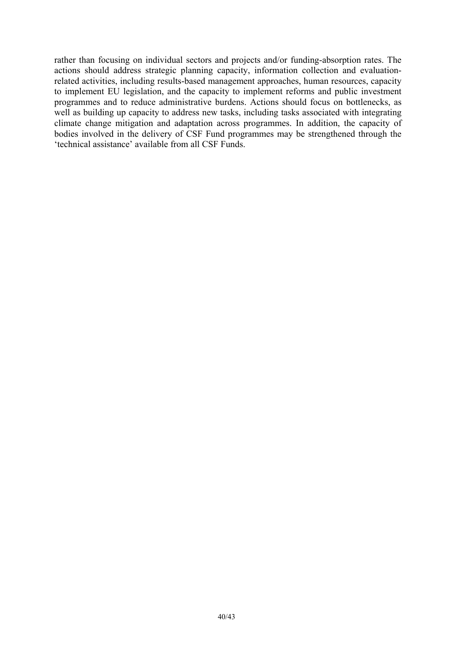rather than focusing on individual sectors and projects and/or funding-absorption rates. The actions should address strategic planning capacity, information collection and evaluationrelated activities, including results-based management approaches, human resources, capacity to implement EU legislation, and the capacity to implement reforms and public investment programmes and to reduce administrative burdens. Actions should focus on bottlenecks, as well as building up capacity to address new tasks, including tasks associated with integrating climate change mitigation and adaptation across programmes. In addition, the capacity of bodies involved in the delivery of CSF Fund programmes may be strengthened through the 'technical assistance' available from all CSF Funds.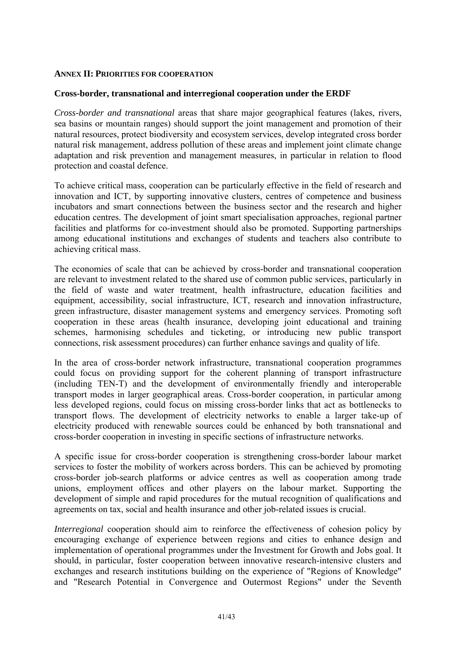#### **ANNEX II: PRIORITIES FOR COOPERATION**

#### **Cross-border, transnational and interregional cooperation under the ERDF**

*Cross-border and transnational* areas that share major geographical features (lakes, rivers, sea basins or mountain ranges) should support the joint management and promotion of their natural resources, protect biodiversity and ecosystem services, develop integrated cross border natural risk management, address pollution of these areas and implement joint climate change adaptation and risk prevention and management measures, in particular in relation to flood protection and coastal defence.

To achieve critical mass, cooperation can be particularly effective in the field of research and innovation and ICT, by supporting innovative clusters, centres of competence and business incubators and smart connections between the business sector and the research and higher education centres. The development of joint smart specialisation approaches, regional partner facilities and platforms for co-investment should also be promoted. Supporting partnerships among educational institutions and exchanges of students and teachers also contribute to achieving critical mass.

The economies of scale that can be achieved by cross-border and transnational cooperation are relevant to investment related to the shared use of common public services, particularly in the field of waste and water treatment, health infrastructure, education facilities and equipment, accessibility, social infrastructure, ICT, research and innovation infrastructure, green infrastructure, disaster management systems and emergency services. Promoting soft cooperation in these areas (health insurance, developing joint educational and training schemes, harmonising schedules and ticketing, or introducing new public transport connections, risk assessment procedures) can further enhance savings and quality of life.

In the area of cross-border network infrastructure, transnational cooperation programmes could focus on providing support for the coherent planning of transport infrastructure (including TEN-T) and the development of environmentally friendly and interoperable transport modes in larger geographical areas. Cross-border cooperation, in particular among less developed regions, could focus on missing cross-border links that act as bottlenecks to transport flows. The development of electricity networks to enable a larger take-up of electricity produced with renewable sources could be enhanced by both transnational and cross-border cooperation in investing in specific sections of infrastructure networks.

A specific issue for cross-border cooperation is strengthening cross-border labour market services to foster the mobility of workers across borders. This can be achieved by promoting cross-border job-search platforms or advice centres as well as cooperation among trade unions, employment offices and other players on the labour market. Supporting the development of simple and rapid procedures for the mutual recognition of qualifications and agreements on tax, social and health insurance and other job-related issues is crucial.

*Interregional* cooperation should aim to reinforce the effectiveness of cohesion policy by encouraging exchange of experience between regions and cities to enhance design and implementation of operational programmes under the Investment for Growth and Jobs goal. It should, in particular, foster cooperation between innovative research-intensive clusters and exchanges and research institutions building on the experience of "Regions of Knowledge" and "Research Potential in Convergence and Outermost Regions" under the Seventh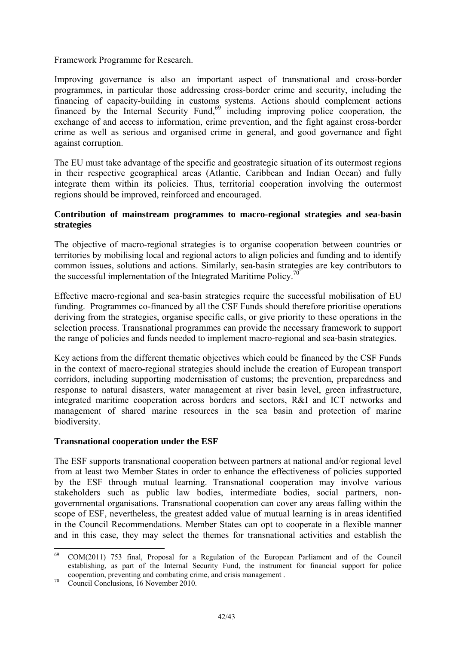Framework Programme for Research.

Improving governance is also an important aspect of transnational and cross-border programmes, in particular those addressing cross-border crime and security, including the financing of capacity-building in customs systems. Actions should complement actions financed by the Internal Security Fund,<sup>69</sup> including improving police cooperation, the exchange of and access to information, crime prevention, and the fight against cross-border crime as well as serious and organised crime in general, and good governance and fight against corruption.

The EU must take advantage of the specific and geostrategic situation of its outermost regions in their respective geographical areas (Atlantic, Caribbean and Indian Ocean) and fully integrate them within its policies. Thus, territorial cooperation involving the outermost regions should be improved, reinforced and encouraged.

#### **Contribution of mainstream programmes to macro-regional strategies and sea-basin strategies**

The objective of macro-regional strategies is to organise cooperation between countries or territories by mobilising local and regional actors to align policies and funding and to identify common issues, solutions and actions. Similarly, sea-basin strategies are key contributors to the successful implementation of the Integrated Maritime Policy.<sup>70</sup>

Effective macro-regional and sea-basin strategies require the successful mobilisation of EU funding. Programmes co-financed by all the CSF Funds should therefore prioritise operations deriving from the strategies, organise specific calls, or give priority to these operations in the selection process. Transnational programmes can provide the necessary framework to support the range of policies and funds needed to implement macro-regional and sea-basin strategies.

Key actions from the different thematic objectives which could be financed by the CSF Funds in the context of macro-regional strategies should include the creation of European transport corridors, including supporting modernisation of customs; the prevention, preparedness and response to natural disasters, water management at river basin level, green infrastructure, integrated maritime cooperation across borders and sectors, R&I and ICT networks and management of shared marine resources in the sea basin and protection of marine biodiversity.

### **Transnational cooperation under the ESF**

The ESF supports transnational cooperation between partners at national and/or regional level from at least two Member States in order to enhance the effectiveness of policies supported by the ESF through mutual learning. Transnational cooperation may involve various stakeholders such as public law bodies, intermediate bodies, social partners, nongovernmental organisations. Transnational cooperation can cover any areas falling within the scope of ESF, nevertheless, the greatest added value of mutual learning is in areas identified in the Council Recommendations. Member States can opt to cooperate in a flexible manner and in this case, they may select the themes for transnational activities and establish the

<sup>69</sup> 69 COM(2011) 753 final, Proposal for a Regulation of the European Parliament and of the Council establishing, as part of the Internal Security Fund, the instrument for financial support for police cooperation, preventing and combating crime, and crisis management . 70 Council Conclusions, 16 November 2010.